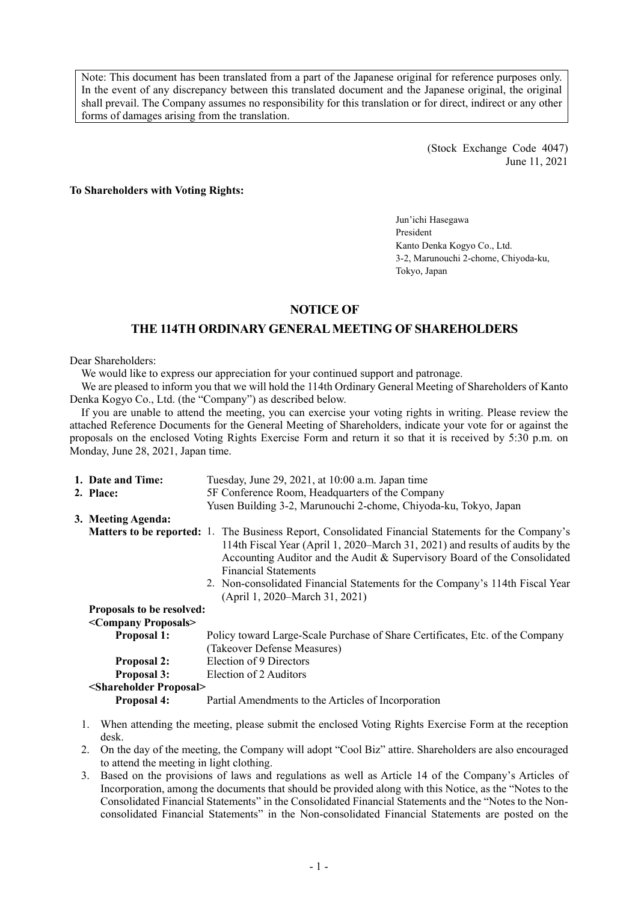Note: This document has been translated from a part of the Japanese original for reference purposes only. In the event of any discrepancy between this translated document and the Japanese original, the original shall prevail. The Company assumes no responsibility for this translation or for direct, indirect or any other forms of damages arising from the translation.

> (Stock Exchange Code 4047) June 11, 2021

**To Shareholders with Voting Rights:** 

Jun'ichi Hasegawa President Kanto Denka Kogyo Co., Ltd. 3-2, Marunouchi 2-chome, Chiyoda-ku, Tokyo, Japan

## **NOTICE OF**

# **THE 114TH ORDINARY GENERAL MEETING OF SHAREHOLDERS**

Dear Shareholders:

We would like to express our appreciation for your continued support and patronage.

We are pleased to inform you that we will hold the 114th Ordinary General Meeting of Shareholders of Kanto Denka Kogyo Co., Ltd. (the "Company") as described below.

If you are unable to attend the meeting, you can exercise your voting rights in writing. Please review the attached Reference Documents for the General Meeting of Shareholders, indicate your vote for or against the proposals on the enclosed Voting Rights Exercise Form and return it so that it is received by 5:30 p.m. on Monday, June 28, 2021, Japan time.

| 1. Date and Time:                       | Tuesday, June 29, 2021, at 10:00 a.m. Japan time                                                                                                                                                                                                                                                                                                                                                                         |
|-----------------------------------------|--------------------------------------------------------------------------------------------------------------------------------------------------------------------------------------------------------------------------------------------------------------------------------------------------------------------------------------------------------------------------------------------------------------------------|
| 2. Place:                               | 5F Conference Room, Headquarters of the Company                                                                                                                                                                                                                                                                                                                                                                          |
|                                         | Yusen Building 3-2, Marunouchi 2-chome, Chiyoda-ku, Tokyo, Japan                                                                                                                                                                                                                                                                                                                                                         |
| 3. Meeting Agenda:                      |                                                                                                                                                                                                                                                                                                                                                                                                                          |
|                                         | <b>Matters to be reported:</b> 1. The Business Report, Consolidated Financial Statements for the Company's<br>114th Fiscal Year (April 1, 2020–March 31, 2021) and results of audits by the<br>Accounting Auditor and the Audit & Supervisory Board of the Consolidated<br><b>Financial Statements</b><br>2. Non-consolidated Financial Statements for the Company's 114th Fiscal Year<br>(April 1, 2020–March 31, 2021) |
| <b>Proposals to be resolved:</b>        |                                                                                                                                                                                                                                                                                                                                                                                                                          |
| <company proposals=""></company>        |                                                                                                                                                                                                                                                                                                                                                                                                                          |
| <b>Proposal 1:</b>                      | Policy toward Large-Scale Purchase of Share Certificates, Etc. of the Company<br>(Takeover Defense Measures)                                                                                                                                                                                                                                                                                                             |
| <b>Proposal 2:</b>                      | Election of 9 Directors                                                                                                                                                                                                                                                                                                                                                                                                  |
| <b>Proposal 3:</b>                      | Election of 2 Auditors                                                                                                                                                                                                                                                                                                                                                                                                   |
| <shareholder proposal=""></shareholder> |                                                                                                                                                                                                                                                                                                                                                                                                                          |
| Proposal 4:                             | Partial Amendments to the Articles of Incorporation                                                                                                                                                                                                                                                                                                                                                                      |
|                                         | When attending the meeting, please submit the enclosed Voting Rights Exercise Form at the reception                                                                                                                                                                                                                                                                                                                      |

- desk.
- 2. On the day of the meeting, the Company will adopt "Cool Biz" attire. Shareholders are also encouraged to attend the meeting in light clothing.
- 3. Based on the provisions of laws and regulations as well as Article 14 of the Company's Articles of Incorporation, among the documents that should be provided along with this Notice, as the "Notes to the Consolidated Financial Statements" in the Consolidated Financial Statements and the "Notes to the Nonconsolidated Financial Statements" in the Non-consolidated Financial Statements are posted on the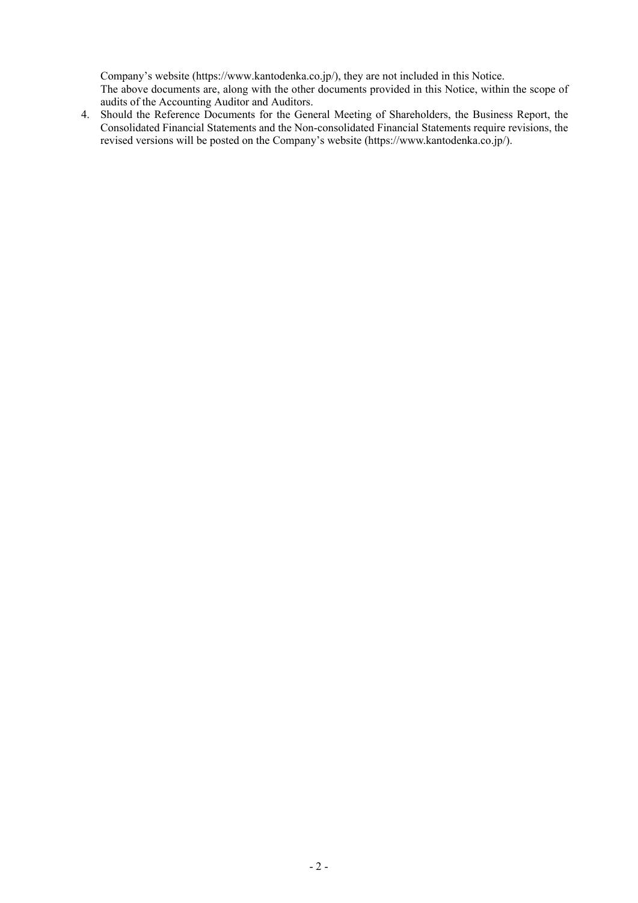Company's website (https://www.kantodenka.co.jp/), they are not included in this Notice.

The above documents are, along with the other documents provided in this Notice, within the scope of audits of the Accounting Auditor and Auditors.

4. Should the Reference Documents for the General Meeting of Shareholders, the Business Report, the Consolidated Financial Statements and the Non-consolidated Financial Statements require revisions, the revised versions will be posted on the Company's website (https://www.kantodenka.co.jp/).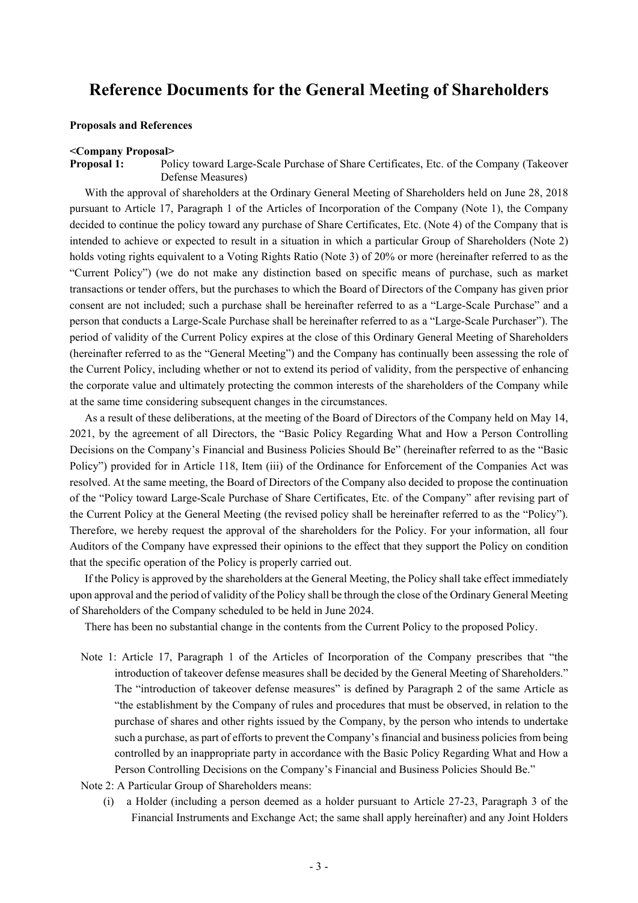# **Reference Documents for the General Meeting of Shareholders**

## **Proposals and References**

#### **<Company Proposal>**

**Proposal 1:** Policy toward Large-Scale Purchase of Share Certificates, Etc. of the Company (Takeover Defense Measures)

With the approval of shareholders at the Ordinary General Meeting of Shareholders held on June 28, 2018 pursuant to Article 17, Paragraph 1 of the Articles of Incorporation of the Company (Note 1), the Company decided to continue the policy toward any purchase of Share Certificates, Etc. (Note 4) of the Company that is intended to achieve or expected to result in a situation in which a particular Group of Shareholders (Note 2) holds voting rights equivalent to a Voting Rights Ratio (Note 3) of 20% or more (hereinafter referred to as the "Current Policy") (we do not make any distinction based on specific means of purchase, such as market transactions or tender offers, but the purchases to which the Board of Directors of the Company has given prior consent are not included; such a purchase shall be hereinafter referred to as a "Large-Scale Purchase" and a person that conducts a Large-Scale Purchase shall be hereinafter referred to as a "Large-Scale Purchaser"). The period of validity of the Current Policy expires at the close of this Ordinary General Meeting of Shareholders (hereinafter referred to as the "General Meeting") and the Company has continually been assessing the role of the Current Policy, including whether or not to extend its period of validity, from the perspective of enhancing the corporate value and ultimately protecting the common interests of the shareholders of the Company while at the same time considering subsequent changes in the circumstances.

As a result of these deliberations, at the meeting of the Board of Directors of the Company held on May 14, 2021, by the agreement of all Directors, the "Basic Policy Regarding What and How a Person Controlling Decisions on the Company's Financial and Business Policies Should Be" (hereinafter referred to as the "Basic Policy") provided for in Article 118, Item (iii) of the Ordinance for Enforcement of the Companies Act was resolved. At the same meeting, the Board of Directors of the Company also decided to propose the continuation of the "Policy toward Large-Scale Purchase of Share Certificates, Etc. of the Company" after revising part of the Current Policy at the General Meeting (the revised policy shall be hereinafter referred to as the "Policy"). Therefore, we hereby request the approval of the shareholders for the Policy. For your information, all four Auditors of the Company have expressed their opinions to the effect that they support the Policy on condition that the specific operation of the Policy is properly carried out.

If the Policy is approved by the shareholders at the General Meeting, the Policy shall take effect immediately upon approval and the period of validity of the Policy shall be through the close of the Ordinary General Meeting of Shareholders of the Company scheduled to be held in June 2024.

There has been no substantial change in the contents from the Current Policy to the proposed Policy.

Note 1: Article 17, Paragraph 1 of the Articles of Incorporation of the Company prescribes that "the introduction of takeover defense measures shall be decided by the General Meeting of Shareholders." The "introduction of takeover defense measures" is defined by Paragraph 2 of the same Article as "the establishment by the Company of rules and procedures that must be observed, in relation to the purchase of shares and other rights issued by the Company, by the person who intends to undertake such a purchase, as part of efforts to prevent the Company's financial and business policies from being controlled by an inappropriate party in accordance with the Basic Policy Regarding What and How a Person Controlling Decisions on the Company's Financial and Business Policies Should Be."

Note 2: A Particular Group of Shareholders means:

(i) a Holder (including a person deemed as a holder pursuant to Article 27-23, Paragraph 3 of the Financial Instruments and Exchange Act; the same shall apply hereinafter) and any Joint Holders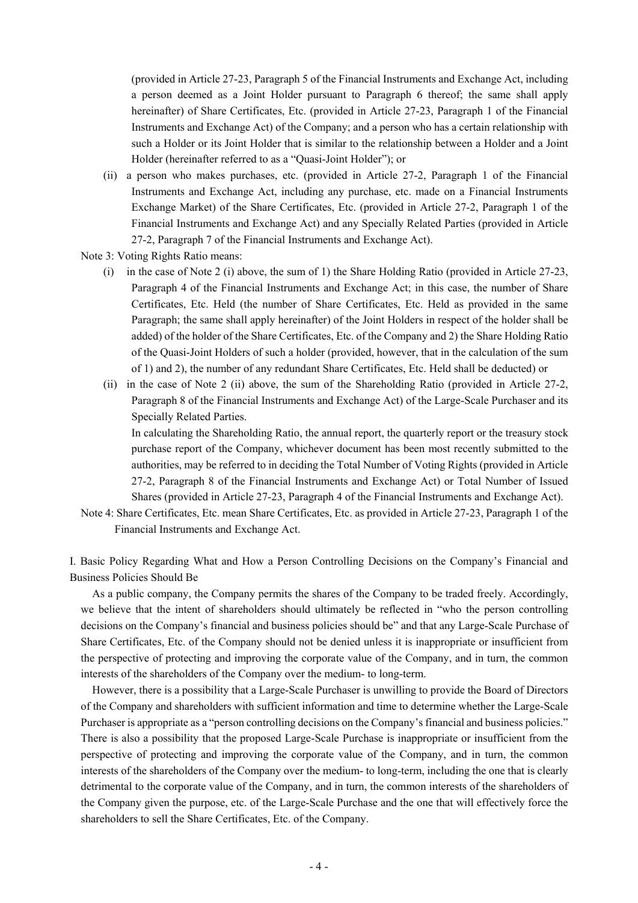(provided in Article 27-23, Paragraph 5 of the Financial Instruments and Exchange Act, including a person deemed as a Joint Holder pursuant to Paragraph 6 thereof; the same shall apply hereinafter) of Share Certificates, Etc. (provided in Article 27-23, Paragraph 1 of the Financial Instruments and Exchange Act) of the Company; and a person who has a certain relationship with such a Holder or its Joint Holder that is similar to the relationship between a Holder and a Joint Holder (hereinafter referred to as a "Quasi-Joint Holder"); or

(ii) a person who makes purchases, etc. (provided in Article 27-2, Paragraph 1 of the Financial Instruments and Exchange Act, including any purchase, etc. made on a Financial Instruments Exchange Market) of the Share Certificates, Etc. (provided in Article 27-2, Paragraph 1 of the Financial Instruments and Exchange Act) and any Specially Related Parties (provided in Article 27-2, Paragraph 7 of the Financial Instruments and Exchange Act).

Note 3: Voting Rights Ratio means:

- (i) in the case of Note 2 (i) above, the sum of 1) the Share Holding Ratio (provided in Article 27-23, Paragraph 4 of the Financial Instruments and Exchange Act; in this case, the number of Share Certificates, Etc. Held (the number of Share Certificates, Etc. Held as provided in the same Paragraph; the same shall apply hereinafter) of the Joint Holders in respect of the holder shall be added) of the holder of the Share Certificates, Etc. of the Company and 2) the Share Holding Ratio of the Quasi-Joint Holders of such a holder (provided, however, that in the calculation of the sum of 1) and 2), the number of any redundant Share Certificates, Etc. Held shall be deducted) or
- (ii) in the case of Note 2 (ii) above, the sum of the Shareholding Ratio (provided in Article 27-2, Paragraph 8 of the Financial Instruments and Exchange Act) of the Large-Scale Purchaser and its Specially Related Parties.

In calculating the Shareholding Ratio, the annual report, the quarterly report or the treasury stock purchase report of the Company, whichever document has been most recently submitted to the authorities, may be referred to in deciding the Total Number of Voting Rights (provided in Article 27-2, Paragraph 8 of the Financial Instruments and Exchange Act) or Total Number of Issued Shares (provided in Article 27-23, Paragraph 4 of the Financial Instruments and Exchange Act).

Note 4: Share Certificates, Etc. mean Share Certificates, Etc. as provided in Article 27-23, Paragraph 1 of the Financial Instruments and Exchange Act.

I. Basic Policy Regarding What and How a Person Controlling Decisions on the Company's Financial and Business Policies Should Be

As a public company, the Company permits the shares of the Company to be traded freely. Accordingly, we believe that the intent of shareholders should ultimately be reflected in "who the person controlling decisions on the Company's financial and business policies should be" and that any Large-Scale Purchase of Share Certificates, Etc. of the Company should not be denied unless it is inappropriate or insufficient from the perspective of protecting and improving the corporate value of the Company, and in turn, the common interests of the shareholders of the Company over the medium- to long-term.

However, there is a possibility that a Large-Scale Purchaser is unwilling to provide the Board of Directors of the Company and shareholders with sufficient information and time to determine whether the Large-Scale Purchaser is appropriate as a "person controlling decisions on the Company's financial and business policies." There is also a possibility that the proposed Large-Scale Purchase is inappropriate or insufficient from the perspective of protecting and improving the corporate value of the Company, and in turn, the common interests of the shareholders of the Company over the medium- to long-term, including the one that is clearly detrimental to the corporate value of the Company, and in turn, the common interests of the shareholders of the Company given the purpose, etc. of the Large-Scale Purchase and the one that will effectively force the shareholders to sell the Share Certificates, Etc. of the Company.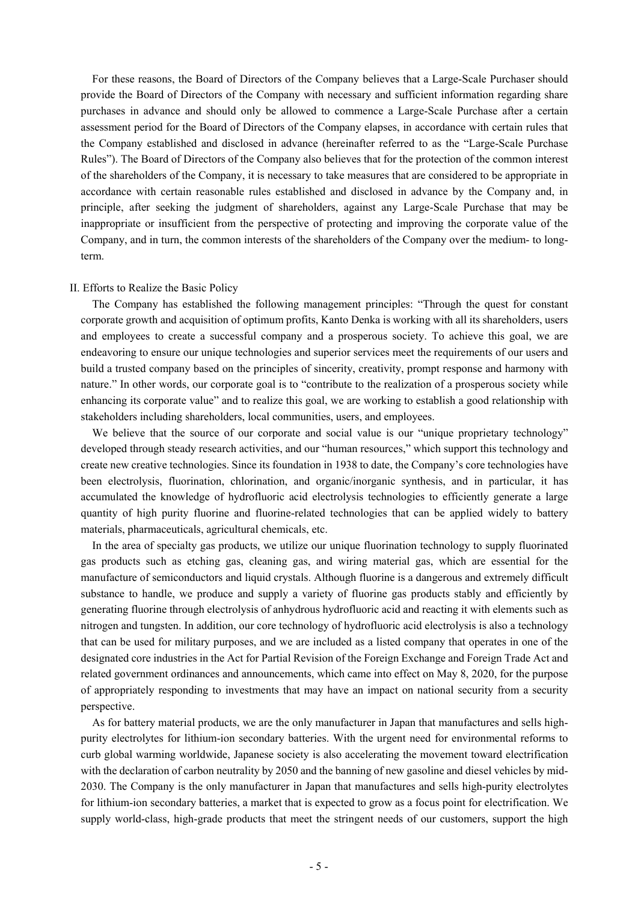For these reasons, the Board of Directors of the Company believes that a Large-Scale Purchaser should provide the Board of Directors of the Company with necessary and sufficient information regarding share purchases in advance and should only be allowed to commence a Large-Scale Purchase after a certain assessment period for the Board of Directors of the Company elapses, in accordance with certain rules that the Company established and disclosed in advance (hereinafter referred to as the "Large-Scale Purchase Rules"). The Board of Directors of the Company also believes that for the protection of the common interest of the shareholders of the Company, it is necessary to take measures that are considered to be appropriate in accordance with certain reasonable rules established and disclosed in advance by the Company and, in principle, after seeking the judgment of shareholders, against any Large-Scale Purchase that may be inappropriate or insufficient from the perspective of protecting and improving the corporate value of the Company, and in turn, the common interests of the shareholders of the Company over the medium- to longterm.

#### II. Efforts to Realize the Basic Policy

The Company has established the following management principles: "Through the quest for constant corporate growth and acquisition of optimum profits, Kanto Denka is working with all its shareholders, users and employees to create a successful company and a prosperous society. To achieve this goal, we are endeavoring to ensure our unique technologies and superior services meet the requirements of our users and build a trusted company based on the principles of sincerity, creativity, prompt response and harmony with nature." In other words, our corporate goal is to "contribute to the realization of a prosperous society while enhancing its corporate value" and to realize this goal, we are working to establish a good relationship with stakeholders including shareholders, local communities, users, and employees.

We believe that the source of our corporate and social value is our "unique proprietary technology" developed through steady research activities, and our "human resources," which support this technology and create new creative technologies. Since its foundation in 1938 to date, the Company's core technologies have been electrolysis, fluorination, chlorination, and organic/inorganic synthesis, and in particular, it has accumulated the knowledge of hydrofluoric acid electrolysis technologies to efficiently generate a large quantity of high purity fluorine and fluorine-related technologies that can be applied widely to battery materials, pharmaceuticals, agricultural chemicals, etc.

In the area of specialty gas products, we utilize our unique fluorination technology to supply fluorinated gas products such as etching gas, cleaning gas, and wiring material gas, which are essential for the manufacture of semiconductors and liquid crystals. Although fluorine is a dangerous and extremely difficult substance to handle, we produce and supply a variety of fluorine gas products stably and efficiently by generating fluorine through electrolysis of anhydrous hydrofluoric acid and reacting it with elements such as nitrogen and tungsten. In addition, our core technology of hydrofluoric acid electrolysis is also a technology that can be used for military purposes, and we are included as a listed company that operates in one of the designated core industries in the Act for Partial Revision of the Foreign Exchange and Foreign Trade Act and related government ordinances and announcements, which came into effect on May 8, 2020, for the purpose of appropriately responding to investments that may have an impact on national security from a security perspective.

As for battery material products, we are the only manufacturer in Japan that manufactures and sells highpurity electrolytes for lithium-ion secondary batteries. With the urgent need for environmental reforms to curb global warming worldwide, Japanese society is also accelerating the movement toward electrification with the declaration of carbon neutrality by 2050 and the banning of new gasoline and diesel vehicles by mid-2030. The Company is the only manufacturer in Japan that manufactures and sells high-purity electrolytes for lithium-ion secondary batteries, a market that is expected to grow as a focus point for electrification. We supply world-class, high-grade products that meet the stringent needs of our customers, support the high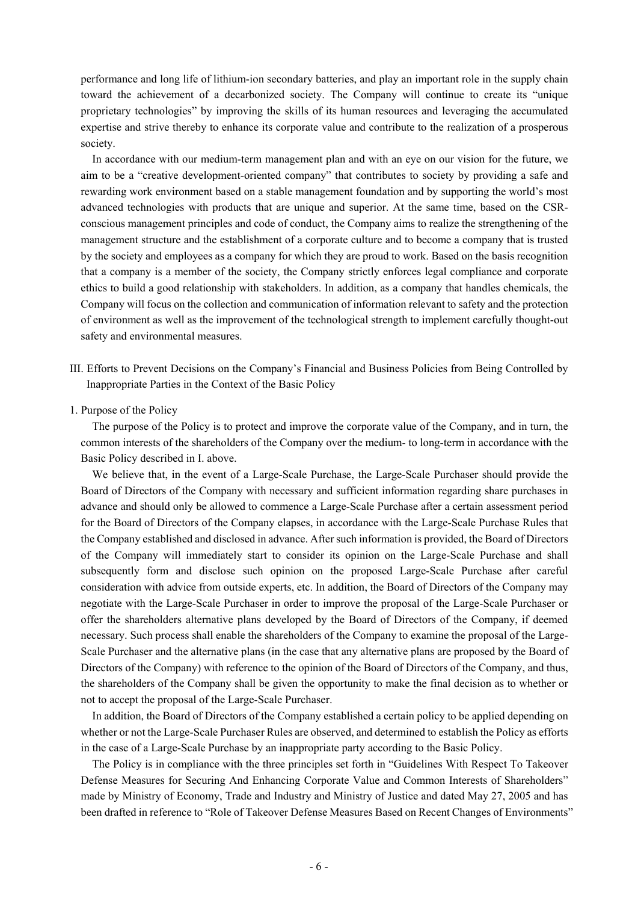performance and long life of lithium-ion secondary batteries, and play an important role in the supply chain toward the achievement of a decarbonized society. The Company will continue to create its "unique proprietary technologies" by improving the skills of its human resources and leveraging the accumulated expertise and strive thereby to enhance its corporate value and contribute to the realization of a prosperous society.

In accordance with our medium-term management plan and with an eye on our vision for the future, we aim to be a "creative development-oriented company" that contributes to society by providing a safe and rewarding work environment based on a stable management foundation and by supporting the world's most advanced technologies with products that are unique and superior. At the same time, based on the CSRconscious management principles and code of conduct, the Company aims to realize the strengthening of the management structure and the establishment of a corporate culture and to become a company that is trusted by the society and employees as a company for which they are proud to work. Based on the basis recognition that a company is a member of the society, the Company strictly enforces legal compliance and corporate ethics to build a good relationship with stakeholders. In addition, as a company that handles chemicals, the Company will focus on the collection and communication of information relevant to safety and the protection of environment as well as the improvement of the technological strength to implement carefully thought-out safety and environmental measures.

III. Efforts to Prevent Decisions on the Company's Financial and Business Policies from Being Controlled by Inappropriate Parties in the Context of the Basic Policy

## 1. Purpose of the Policy

The purpose of the Policy is to protect and improve the corporate value of the Company, and in turn, the common interests of the shareholders of the Company over the medium- to long-term in accordance with the Basic Policy described in I. above.

We believe that, in the event of a Large-Scale Purchase, the Large-Scale Purchaser should provide the Board of Directors of the Company with necessary and sufficient information regarding share purchases in advance and should only be allowed to commence a Large-Scale Purchase after a certain assessment period for the Board of Directors of the Company elapses, in accordance with the Large-Scale Purchase Rules that the Company established and disclosed in advance. After such information is provided, the Board of Directors of the Company will immediately start to consider its opinion on the Large-Scale Purchase and shall subsequently form and disclose such opinion on the proposed Large-Scale Purchase after careful consideration with advice from outside experts, etc. In addition, the Board of Directors of the Company may negotiate with the Large-Scale Purchaser in order to improve the proposal of the Large-Scale Purchaser or offer the shareholders alternative plans developed by the Board of Directors of the Company, if deemed necessary. Such process shall enable the shareholders of the Company to examine the proposal of the Large-Scale Purchaser and the alternative plans (in the case that any alternative plans are proposed by the Board of Directors of the Company) with reference to the opinion of the Board of Directors of the Company, and thus, the shareholders of the Company shall be given the opportunity to make the final decision as to whether or not to accept the proposal of the Large-Scale Purchaser.

In addition, the Board of Directors of the Company established a certain policy to be applied depending on whether or not the Large-Scale Purchaser Rules are observed, and determined to establish the Policy as efforts in the case of a Large-Scale Purchase by an inappropriate party according to the Basic Policy.

The Policy is in compliance with the three principles set forth in "Guidelines With Respect To Takeover Defense Measures for Securing And Enhancing Corporate Value and Common Interests of Shareholders" made by Ministry of Economy, Trade and Industry and Ministry of Justice and dated May 27, 2005 and has been drafted in reference to "Role of Takeover Defense Measures Based on Recent Changes of Environments"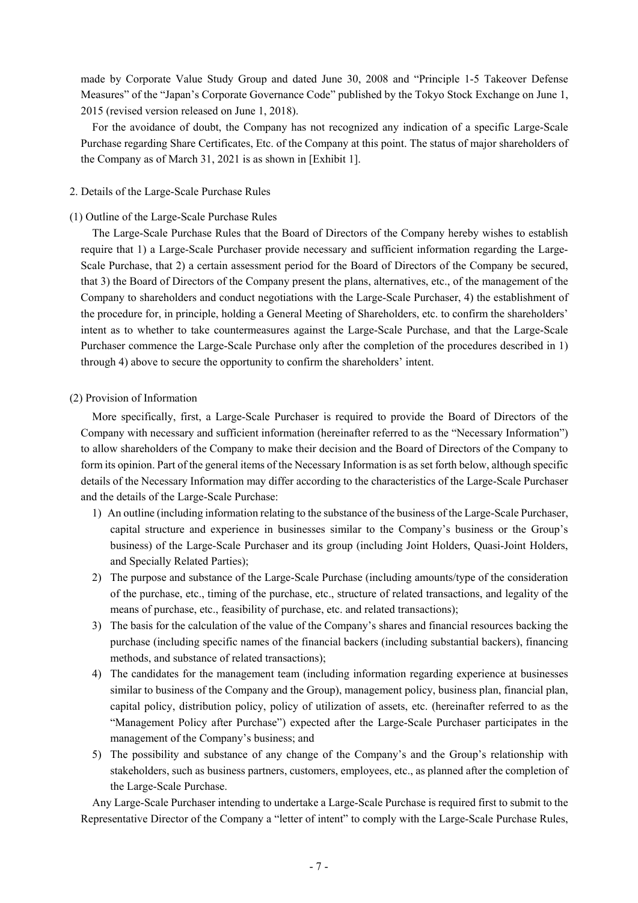made by Corporate Value Study Group and dated June 30, 2008 and "Principle 1-5 Takeover Defense Measures" of the "Japan's Corporate Governance Code" published by the Tokyo Stock Exchange on June 1, 2015 (revised version released on June 1, 2018).

For the avoidance of doubt, the Company has not recognized any indication of a specific Large-Scale Purchase regarding Share Certificates, Etc. of the Company at this point. The status of major shareholders of the Company as of March 31, 2021 is as shown in [Exhibit 1].

## 2. Details of the Large-Scale Purchase Rules

## (1) Outline of the Large-Scale Purchase Rules

The Large-Scale Purchase Rules that the Board of Directors of the Company hereby wishes to establish require that 1) a Large-Scale Purchaser provide necessary and sufficient information regarding the Large-Scale Purchase, that 2) a certain assessment period for the Board of Directors of the Company be secured, that 3) the Board of Directors of the Company present the plans, alternatives, etc., of the management of the Company to shareholders and conduct negotiations with the Large-Scale Purchaser, 4) the establishment of the procedure for, in principle, holding a General Meeting of Shareholders, etc. to confirm the shareholders' intent as to whether to take countermeasures against the Large-Scale Purchase, and that the Large-Scale Purchaser commence the Large-Scale Purchase only after the completion of the procedures described in 1) through 4) above to secure the opportunity to confirm the shareholders' intent.

## (2) Provision of Information

More specifically, first, a Large-Scale Purchaser is required to provide the Board of Directors of the Company with necessary and sufficient information (hereinafter referred to as the "Necessary Information") to allow shareholders of the Company to make their decision and the Board of Directors of the Company to form its opinion. Part of the general items of the Necessary Information is as set forth below, although specific details of the Necessary Information may differ according to the characteristics of the Large-Scale Purchaser and the details of the Large-Scale Purchase:

- 1) An outline (including information relating to the substance of the business of the Large-Scale Purchaser, capital structure and experience in businesses similar to the Company's business or the Group's business) of the Large-Scale Purchaser and its group (including Joint Holders, Quasi-Joint Holders, and Specially Related Parties);
- 2) The purpose and substance of the Large-Scale Purchase (including amounts/type of the consideration of the purchase, etc., timing of the purchase, etc., structure of related transactions, and legality of the means of purchase, etc., feasibility of purchase, etc. and related transactions);
- 3) The basis for the calculation of the value of the Company's shares and financial resources backing the purchase (including specific names of the financial backers (including substantial backers), financing methods, and substance of related transactions);
- 4) The candidates for the management team (including information regarding experience at businesses similar to business of the Company and the Group), management policy, business plan, financial plan, capital policy, distribution policy, policy of utilization of assets, etc. (hereinafter referred to as the "Management Policy after Purchase") expected after the Large-Scale Purchaser participates in the management of the Company's business; and
- 5) The possibility and substance of any change of the Company's and the Group's relationship with stakeholders, such as business partners, customers, employees, etc., as planned after the completion of the Large-Scale Purchase.

Any Large-Scale Purchaser intending to undertake a Large-Scale Purchase is required first to submit to the Representative Director of the Company a "letter of intent" to comply with the Large-Scale Purchase Rules,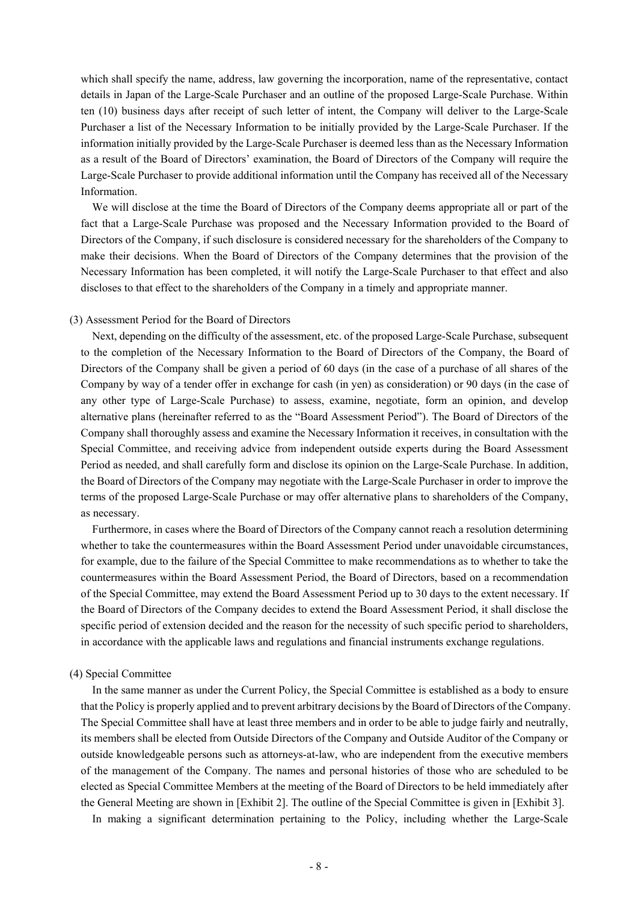which shall specify the name, address, law governing the incorporation, name of the representative, contact details in Japan of the Large-Scale Purchaser and an outline of the proposed Large-Scale Purchase. Within ten (10) business days after receipt of such letter of intent, the Company will deliver to the Large-Scale Purchaser a list of the Necessary Information to be initially provided by the Large-Scale Purchaser. If the information initially provided by the Large-Scale Purchaser is deemed less than as the Necessary Information as a result of the Board of Directors' examination, the Board of Directors of the Company will require the Large-Scale Purchaser to provide additional information until the Company has received all of the Necessary Information.

We will disclose at the time the Board of Directors of the Company deems appropriate all or part of the fact that a Large-Scale Purchase was proposed and the Necessary Information provided to the Board of Directors of the Company, if such disclosure is considered necessary for the shareholders of the Company to make their decisions. When the Board of Directors of the Company determines that the provision of the Necessary Information has been completed, it will notify the Large-Scale Purchaser to that effect and also discloses to that effect to the shareholders of the Company in a timely and appropriate manner.

## (3) Assessment Period for the Board of Directors

Next, depending on the difficulty of the assessment, etc. of the proposed Large-Scale Purchase, subsequent to the completion of the Necessary Information to the Board of Directors of the Company, the Board of Directors of the Company shall be given a period of 60 days (in the case of a purchase of all shares of the Company by way of a tender offer in exchange for cash (in yen) as consideration) or 90 days (in the case of any other type of Large-Scale Purchase) to assess, examine, negotiate, form an opinion, and develop alternative plans (hereinafter referred to as the "Board Assessment Period"). The Board of Directors of the Company shall thoroughly assess and examine the Necessary Information it receives, in consultation with the Special Committee, and receiving advice from independent outside experts during the Board Assessment Period as needed, and shall carefully form and disclose its opinion on the Large-Scale Purchase. In addition, the Board of Directors of the Company may negotiate with the Large-Scale Purchaser in order to improve the terms of the proposed Large-Scale Purchase or may offer alternative plans to shareholders of the Company, as necessary.

Furthermore, in cases where the Board of Directors of the Company cannot reach a resolution determining whether to take the countermeasures within the Board Assessment Period under unavoidable circumstances, for example, due to the failure of the Special Committee to make recommendations as to whether to take the countermeasures within the Board Assessment Period, the Board of Directors, based on a recommendation of the Special Committee, may extend the Board Assessment Period up to 30 days to the extent necessary. If the Board of Directors of the Company decides to extend the Board Assessment Period, it shall disclose the specific period of extension decided and the reason for the necessity of such specific period to shareholders, in accordance with the applicable laws and regulations and financial instruments exchange regulations.

## (4) Special Committee

In the same manner as under the Current Policy, the Special Committee is established as a body to ensure that the Policy is properly applied and to prevent arbitrary decisions by the Board of Directors of the Company. The Special Committee shall have at least three members and in order to be able to judge fairly and neutrally, its members shall be elected from Outside Directors of the Company and Outside Auditor of the Company or outside knowledgeable persons such as attorneys-at-law, who are independent from the executive members of the management of the Company. The names and personal histories of those who are scheduled to be elected as Special Committee Members at the meeting of the Board of Directors to be held immediately after the General Meeting are shown in [Exhibit 2]. The outline of the Special Committee is given in [Exhibit 3].

In making a significant determination pertaining to the Policy, including whether the Large-Scale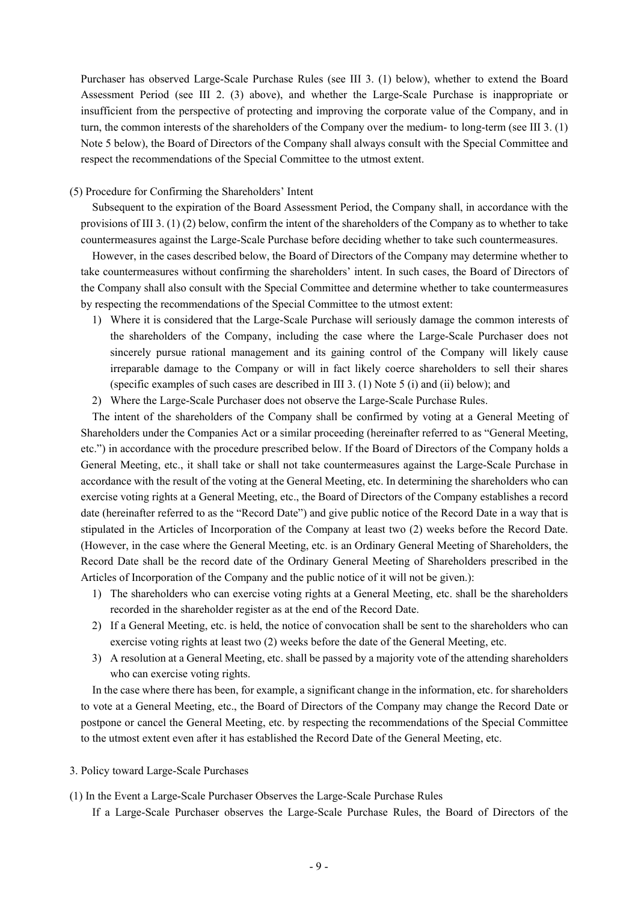Purchaser has observed Large-Scale Purchase Rules (see III 3. (1) below), whether to extend the Board Assessment Period (see III 2. (3) above), and whether the Large-Scale Purchase is inappropriate or insufficient from the perspective of protecting and improving the corporate value of the Company, and in turn, the common interests of the shareholders of the Company over the medium- to long-term (see III 3. (1) Note 5 below), the Board of Directors of the Company shall always consult with the Special Committee and respect the recommendations of the Special Committee to the utmost extent.

## (5) Procedure for Confirming the Shareholders' Intent

Subsequent to the expiration of the Board Assessment Period, the Company shall, in accordance with the provisions of III 3. (1) (2) below, confirm the intent of the shareholders of the Company as to whether to take countermeasures against the Large-Scale Purchase before deciding whether to take such countermeasures.

However, in the cases described below, the Board of Directors of the Company may determine whether to take countermeasures without confirming the shareholders' intent. In such cases, the Board of Directors of the Company shall also consult with the Special Committee and determine whether to take countermeasures by respecting the recommendations of the Special Committee to the utmost extent:

- 1) Where it is considered that the Large-Scale Purchase will seriously damage the common interests of the shareholders of the Company, including the case where the Large-Scale Purchaser does not sincerely pursue rational management and its gaining control of the Company will likely cause irreparable damage to the Company or will in fact likely coerce shareholders to sell their shares (specific examples of such cases are described in III 3. (1) Note 5 (i) and (ii) below); and
- 2) Where the Large-Scale Purchaser does not observe the Large-Scale Purchase Rules.

The intent of the shareholders of the Company shall be confirmed by voting at a General Meeting of Shareholders under the Companies Act or a similar proceeding (hereinafter referred to as "General Meeting, etc.") in accordance with the procedure prescribed below. If the Board of Directors of the Company holds a General Meeting, etc., it shall take or shall not take countermeasures against the Large-Scale Purchase in accordance with the result of the voting at the General Meeting, etc. In determining the shareholders who can exercise voting rights at a General Meeting, etc., the Board of Directors of the Company establishes a record date (hereinafter referred to as the "Record Date") and give public notice of the Record Date in a way that is stipulated in the Articles of Incorporation of the Company at least two (2) weeks before the Record Date. (However, in the case where the General Meeting, etc. is an Ordinary General Meeting of Shareholders, the Record Date shall be the record date of the Ordinary General Meeting of Shareholders prescribed in the Articles of Incorporation of the Company and the public notice of it will not be given.):

- 1) The shareholders who can exercise voting rights at a General Meeting, etc. shall be the shareholders recorded in the shareholder register as at the end of the Record Date.
- 2) If a General Meeting, etc. is held, the notice of convocation shall be sent to the shareholders who can exercise voting rights at least two (2) weeks before the date of the General Meeting, etc.
- 3) A resolution at a General Meeting, etc. shall be passed by a majority vote of the attending shareholders who can exercise voting rights.

In the case where there has been, for example, a significant change in the information, etc. for shareholders to vote at a General Meeting, etc., the Board of Directors of the Company may change the Record Date or postpone or cancel the General Meeting, etc. by respecting the recommendations of the Special Committee to the utmost extent even after it has established the Record Date of the General Meeting, etc.

- 3. Policy toward Large-Scale Purchases
- (1) In the Event a Large-Scale Purchaser Observes the Large-Scale Purchase Rules

If a Large-Scale Purchaser observes the Large-Scale Purchase Rules, the Board of Directors of the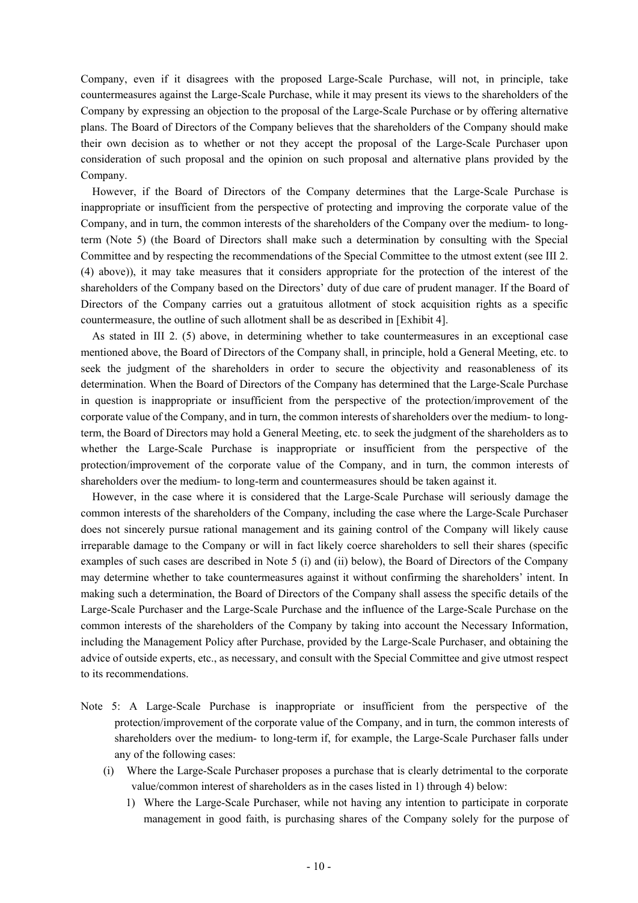Company, even if it disagrees with the proposed Large-Scale Purchase, will not, in principle, take countermeasures against the Large-Scale Purchase, while it may present its views to the shareholders of the Company by expressing an objection to the proposal of the Large-Scale Purchase or by offering alternative plans. The Board of Directors of the Company believes that the shareholders of the Company should make their own decision as to whether or not they accept the proposal of the Large-Scale Purchaser upon consideration of such proposal and the opinion on such proposal and alternative plans provided by the Company.

However, if the Board of Directors of the Company determines that the Large-Scale Purchase is inappropriate or insufficient from the perspective of protecting and improving the corporate value of the Company, and in turn, the common interests of the shareholders of the Company over the medium- to longterm (Note 5) (the Board of Directors shall make such a determination by consulting with the Special Committee and by respecting the recommendations of the Special Committee to the utmost extent (see III 2. (4) above)), it may take measures that it considers appropriate for the protection of the interest of the shareholders of the Company based on the Directors' duty of due care of prudent manager. If the Board of Directors of the Company carries out a gratuitous allotment of stock acquisition rights as a specific countermeasure, the outline of such allotment shall be as described in [Exhibit 4].

As stated in III 2. (5) above, in determining whether to take countermeasures in an exceptional case mentioned above, the Board of Directors of the Company shall, in principle, hold a General Meeting, etc. to seek the judgment of the shareholders in order to secure the objectivity and reasonableness of its determination. When the Board of Directors of the Company has determined that the Large-Scale Purchase in question is inappropriate or insufficient from the perspective of the protection/improvement of the corporate value of the Company, and in turn, the common interests of shareholders over the medium- to longterm, the Board of Directors may hold a General Meeting, etc. to seek the judgment of the shareholders as to whether the Large-Scale Purchase is inappropriate or insufficient from the perspective of the protection/improvement of the corporate value of the Company, and in turn, the common interests of shareholders over the medium- to long-term and countermeasures should be taken against it.

However, in the case where it is considered that the Large-Scale Purchase will seriously damage the common interests of the shareholders of the Company, including the case where the Large-Scale Purchaser does not sincerely pursue rational management and its gaining control of the Company will likely cause irreparable damage to the Company or will in fact likely coerce shareholders to sell their shares (specific examples of such cases are described in Note 5 (i) and (ii) below), the Board of Directors of the Company may determine whether to take countermeasures against it without confirming the shareholders' intent. In making such a determination, the Board of Directors of the Company shall assess the specific details of the Large-Scale Purchaser and the Large-Scale Purchase and the influence of the Large-Scale Purchase on the common interests of the shareholders of the Company by taking into account the Necessary Information, including the Management Policy after Purchase, provided by the Large-Scale Purchaser, and obtaining the advice of outside experts, etc., as necessary, and consult with the Special Committee and give utmost respect to its recommendations.

- Note 5: A Large-Scale Purchase is inappropriate or insufficient from the perspective of the protection/improvement of the corporate value of the Company, and in turn, the common interests of shareholders over the medium- to long-term if, for example, the Large-Scale Purchaser falls under any of the following cases:
	- (i) Where the Large-Scale Purchaser proposes a purchase that is clearly detrimental to the corporate value/common interest of shareholders as in the cases listed in 1) through 4) below:
		- 1) Where the Large-Scale Purchaser, while not having any intention to participate in corporate management in good faith, is purchasing shares of the Company solely for the purpose of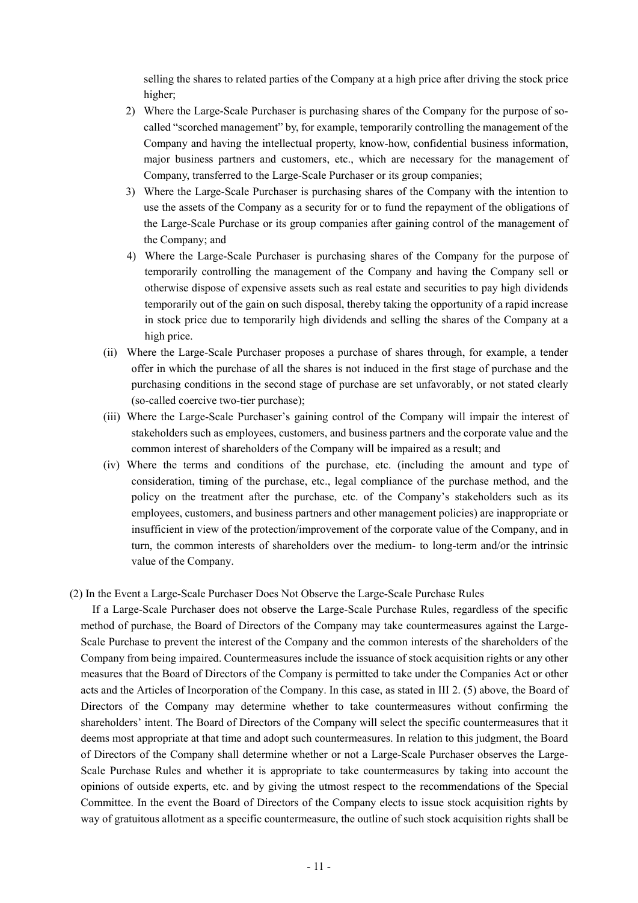selling the shares to related parties of the Company at a high price after driving the stock price higher;

- 2) Where the Large-Scale Purchaser is purchasing shares of the Company for the purpose of socalled "scorched management" by, for example, temporarily controlling the management of the Company and having the intellectual property, know-how, confidential business information, major business partners and customers, etc., which are necessary for the management of Company, transferred to the Large-Scale Purchaser or its group companies;
- 3) Where the Large-Scale Purchaser is purchasing shares of the Company with the intention to use the assets of the Company as a security for or to fund the repayment of the obligations of the Large-Scale Purchase or its group companies after gaining control of the management of the Company; and
- 4) Where the Large-Scale Purchaser is purchasing shares of the Company for the purpose of temporarily controlling the management of the Company and having the Company sell or otherwise dispose of expensive assets such as real estate and securities to pay high dividends temporarily out of the gain on such disposal, thereby taking the opportunity of a rapid increase in stock price due to temporarily high dividends and selling the shares of the Company at a high price.
- (ii) Where the Large-Scale Purchaser proposes a purchase of shares through, for example, a tender offer in which the purchase of all the shares is not induced in the first stage of purchase and the purchasing conditions in the second stage of purchase are set unfavorably, or not stated clearly (so-called coercive two-tier purchase);
- (iii) Where the Large-Scale Purchaser's gaining control of the Company will impair the interest of stakeholders such as employees, customers, and business partners and the corporate value and the common interest of shareholders of the Company will be impaired as a result; and
- (iv) Where the terms and conditions of the purchase, etc. (including the amount and type of consideration, timing of the purchase, etc., legal compliance of the purchase method, and the policy on the treatment after the purchase, etc. of the Company's stakeholders such as its employees, customers, and business partners and other management policies) are inappropriate or insufficient in view of the protection/improvement of the corporate value of the Company, and in turn, the common interests of shareholders over the medium- to long-term and/or the intrinsic value of the Company.
- (2) In the Event a Large-Scale Purchaser Does Not Observe the Large-Scale Purchase Rules

If a Large-Scale Purchaser does not observe the Large-Scale Purchase Rules, regardless of the specific method of purchase, the Board of Directors of the Company may take countermeasures against the Large-Scale Purchase to prevent the interest of the Company and the common interests of the shareholders of the Company from being impaired. Countermeasures include the issuance of stock acquisition rights or any other measures that the Board of Directors of the Company is permitted to take under the Companies Act or other acts and the Articles of Incorporation of the Company. In this case, as stated in III 2. (5) above, the Board of Directors of the Company may determine whether to take countermeasures without confirming the shareholders' intent. The Board of Directors of the Company will select the specific countermeasures that it deems most appropriate at that time and adopt such countermeasures. In relation to this judgment, the Board of Directors of the Company shall determine whether or not a Large-Scale Purchaser observes the Large-Scale Purchase Rules and whether it is appropriate to take countermeasures by taking into account the opinions of outside experts, etc. and by giving the utmost respect to the recommendations of the Special Committee. In the event the Board of Directors of the Company elects to issue stock acquisition rights by way of gratuitous allotment as a specific countermeasure, the outline of such stock acquisition rights shall be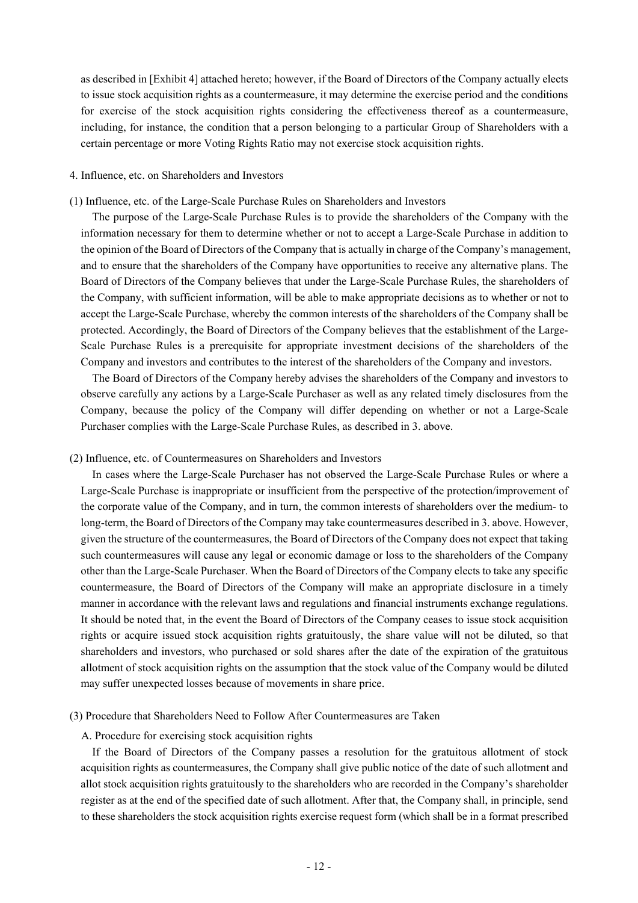as described in [Exhibit 4] attached hereto; however, if the Board of Directors of the Company actually elects to issue stock acquisition rights as a countermeasure, it may determine the exercise period and the conditions for exercise of the stock acquisition rights considering the effectiveness thereof as a countermeasure, including, for instance, the condition that a person belonging to a particular Group of Shareholders with a certain percentage or more Voting Rights Ratio may not exercise stock acquisition rights.

## 4. Influence, etc. on Shareholders and Investors

(1) Influence, etc. of the Large-Scale Purchase Rules on Shareholders and Investors

The purpose of the Large-Scale Purchase Rules is to provide the shareholders of the Company with the information necessary for them to determine whether or not to accept a Large-Scale Purchase in addition to the opinion of the Board of Directors of the Company that is actually in charge of the Company's management, and to ensure that the shareholders of the Company have opportunities to receive any alternative plans. The Board of Directors of the Company believes that under the Large-Scale Purchase Rules, the shareholders of the Company, with sufficient information, will be able to make appropriate decisions as to whether or not to accept the Large-Scale Purchase, whereby the common interests of the shareholders of the Company shall be protected. Accordingly, the Board of Directors of the Company believes that the establishment of the Large-Scale Purchase Rules is a prerequisite for appropriate investment decisions of the shareholders of the Company and investors and contributes to the interest of the shareholders of the Company and investors.

The Board of Directors of the Company hereby advises the shareholders of the Company and investors to observe carefully any actions by a Large-Scale Purchaser as well as any related timely disclosures from the Company, because the policy of the Company will differ depending on whether or not a Large-Scale Purchaser complies with the Large-Scale Purchase Rules, as described in 3. above.

## (2) Influence, etc. of Countermeasures on Shareholders and Investors

In cases where the Large-Scale Purchaser has not observed the Large-Scale Purchase Rules or where a Large-Scale Purchase is inappropriate or insufficient from the perspective of the protection/improvement of the corporate value of the Company, and in turn, the common interests of shareholders over the medium- to long-term, the Board of Directors of the Company may take countermeasures described in 3. above. However, given the structure of the countermeasures, the Board of Directors of the Company does not expect that taking such countermeasures will cause any legal or economic damage or loss to the shareholders of the Company other than the Large-Scale Purchaser. When the Board of Directors of the Company elects to take any specific countermeasure, the Board of Directors of the Company will make an appropriate disclosure in a timely manner in accordance with the relevant laws and regulations and financial instruments exchange regulations. It should be noted that, in the event the Board of Directors of the Company ceases to issue stock acquisition rights or acquire issued stock acquisition rights gratuitously, the share value will not be diluted, so that shareholders and investors, who purchased or sold shares after the date of the expiration of the gratuitous allotment of stock acquisition rights on the assumption that the stock value of the Company would be diluted may suffer unexpected losses because of movements in share price.

## (3) Procedure that Shareholders Need to Follow After Countermeasures are Taken

## A. Procedure for exercising stock acquisition rights

If the Board of Directors of the Company passes a resolution for the gratuitous allotment of stock acquisition rights as countermeasures, the Company shall give public notice of the date of such allotment and allot stock acquisition rights gratuitously to the shareholders who are recorded in the Company's shareholder register as at the end of the specified date of such allotment. After that, the Company shall, in principle, send to these shareholders the stock acquisition rights exercise request form (which shall be in a format prescribed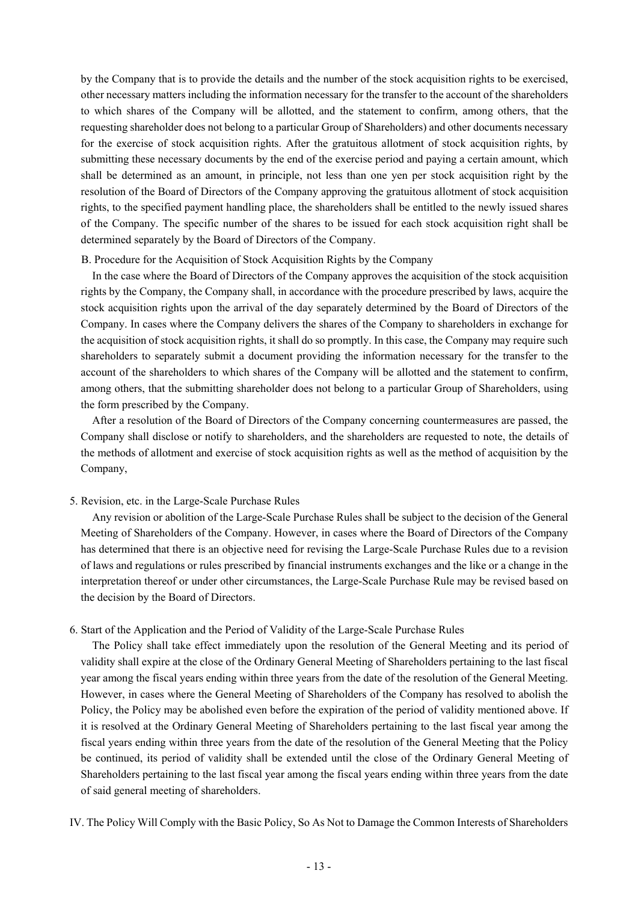by the Company that is to provide the details and the number of the stock acquisition rights to be exercised, other necessary matters including the information necessary for the transfer to the account of the shareholders to which shares of the Company will be allotted, and the statement to confirm, among others, that the requesting shareholder does not belong to a particular Group of Shareholders) and other documents necessary for the exercise of stock acquisition rights. After the gratuitous allotment of stock acquisition rights, by submitting these necessary documents by the end of the exercise period and paying a certain amount, which shall be determined as an amount, in principle, not less than one yen per stock acquisition right by the resolution of the Board of Directors of the Company approving the gratuitous allotment of stock acquisition rights, to the specified payment handling place, the shareholders shall be entitled to the newly issued shares of the Company. The specific number of the shares to be issued for each stock acquisition right shall be determined separately by the Board of Directors of the Company.

## B. Procedure for the Acquisition of Stock Acquisition Rights by the Company

In the case where the Board of Directors of the Company approves the acquisition of the stock acquisition rights by the Company, the Company shall, in accordance with the procedure prescribed by laws, acquire the stock acquisition rights upon the arrival of the day separately determined by the Board of Directors of the Company. In cases where the Company delivers the shares of the Company to shareholders in exchange for the acquisition of stock acquisition rights, it shall do so promptly. In this case, the Company may require such shareholders to separately submit a document providing the information necessary for the transfer to the account of the shareholders to which shares of the Company will be allotted and the statement to confirm, among others, that the submitting shareholder does not belong to a particular Group of Shareholders, using the form prescribed by the Company.

After a resolution of the Board of Directors of the Company concerning countermeasures are passed, the Company shall disclose or notify to shareholders, and the shareholders are requested to note, the details of the methods of allotment and exercise of stock acquisition rights as well as the method of acquisition by the Company,

## 5. Revision, etc. in the Large-Scale Purchase Rules

Any revision or abolition of the Large-Scale Purchase Rules shall be subject to the decision of the General Meeting of Shareholders of the Company. However, in cases where the Board of Directors of the Company has determined that there is an objective need for revising the Large-Scale Purchase Rules due to a revision of laws and regulations or rules prescribed by financial instruments exchanges and the like or a change in the interpretation thereof or under other circumstances, the Large-Scale Purchase Rule may be revised based on the decision by the Board of Directors.

## 6. Start of the Application and the Period of Validity of the Large-Scale Purchase Rules

The Policy shall take effect immediately upon the resolution of the General Meeting and its period of validity shall expire at the close of the Ordinary General Meeting of Shareholders pertaining to the last fiscal year among the fiscal years ending within three years from the date of the resolution of the General Meeting. However, in cases where the General Meeting of Shareholders of the Company has resolved to abolish the Policy, the Policy may be abolished even before the expiration of the period of validity mentioned above. If it is resolved at the Ordinary General Meeting of Shareholders pertaining to the last fiscal year among the fiscal years ending within three years from the date of the resolution of the General Meeting that the Policy be continued, its period of validity shall be extended until the close of the Ordinary General Meeting of Shareholders pertaining to the last fiscal year among the fiscal years ending within three years from the date of said general meeting of shareholders.

IV. The Policy Will Comply with the Basic Policy, So As Not to Damage the Common Interests of Shareholders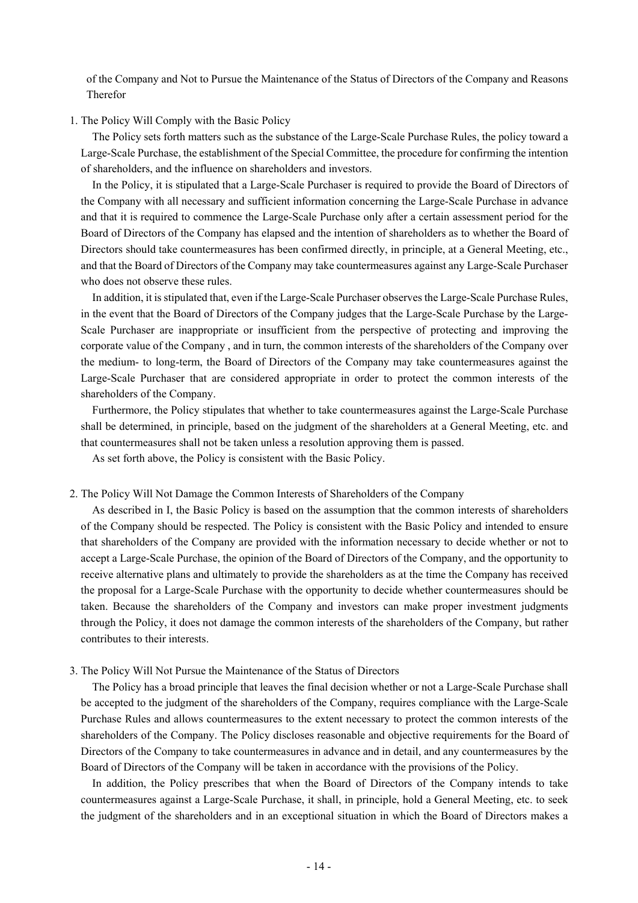of the Company and Not to Pursue the Maintenance of the Status of Directors of the Company and Reasons Therefor

## 1. The Policy Will Comply with the Basic Policy

The Policy sets forth matters such as the substance of the Large-Scale Purchase Rules, the policy toward a Large-Scale Purchase, the establishment of the Special Committee, the procedure for confirming the intention of shareholders, and the influence on shareholders and investors.

In the Policy, it is stipulated that a Large-Scale Purchaser is required to provide the Board of Directors of the Company with all necessary and sufficient information concerning the Large-Scale Purchase in advance and that it is required to commence the Large-Scale Purchase only after a certain assessment period for the Board of Directors of the Company has elapsed and the intention of shareholders as to whether the Board of Directors should take countermeasures has been confirmed directly, in principle, at a General Meeting, etc., and that the Board of Directors of the Company may take countermeasures against any Large-Scale Purchaser who does not observe these rules.

In addition, it is stipulated that, even if the Large-Scale Purchaser observes the Large-Scale Purchase Rules, in the event that the Board of Directors of the Company judges that the Large-Scale Purchase by the Large-Scale Purchaser are inappropriate or insufficient from the perspective of protecting and improving the corporate value of the Company , and in turn, the common interests of the shareholders of the Company over the medium- to long-term, the Board of Directors of the Company may take countermeasures against the Large-Scale Purchaser that are considered appropriate in order to protect the common interests of the shareholders of the Company.

Furthermore, the Policy stipulates that whether to take countermeasures against the Large-Scale Purchase shall be determined, in principle, based on the judgment of the shareholders at a General Meeting, etc. and that countermeasures shall not be taken unless a resolution approving them is passed.

As set forth above, the Policy is consistent with the Basic Policy.

## 2. The Policy Will Not Damage the Common Interests of Shareholders of the Company

As described in I, the Basic Policy is based on the assumption that the common interests of shareholders of the Company should be respected. The Policy is consistent with the Basic Policy and intended to ensure that shareholders of the Company are provided with the information necessary to decide whether or not to accept a Large-Scale Purchase, the opinion of the Board of Directors of the Company, and the opportunity to receive alternative plans and ultimately to provide the shareholders as at the time the Company has received the proposal for a Large-Scale Purchase with the opportunity to decide whether countermeasures should be taken. Because the shareholders of the Company and investors can make proper investment judgments through the Policy, it does not damage the common interests of the shareholders of the Company, but rather contributes to their interests.

#### 3. The Policy Will Not Pursue the Maintenance of the Status of Directors

The Policy has a broad principle that leaves the final decision whether or not a Large-Scale Purchase shall be accepted to the judgment of the shareholders of the Company, requires compliance with the Large-Scale Purchase Rules and allows countermeasures to the extent necessary to protect the common interests of the shareholders of the Company. The Policy discloses reasonable and objective requirements for the Board of Directors of the Company to take countermeasures in advance and in detail, and any countermeasures by the Board of Directors of the Company will be taken in accordance with the provisions of the Policy.

In addition, the Policy prescribes that when the Board of Directors of the Company intends to take countermeasures against a Large-Scale Purchase, it shall, in principle, hold a General Meeting, etc. to seek the judgment of the shareholders and in an exceptional situation in which the Board of Directors makes a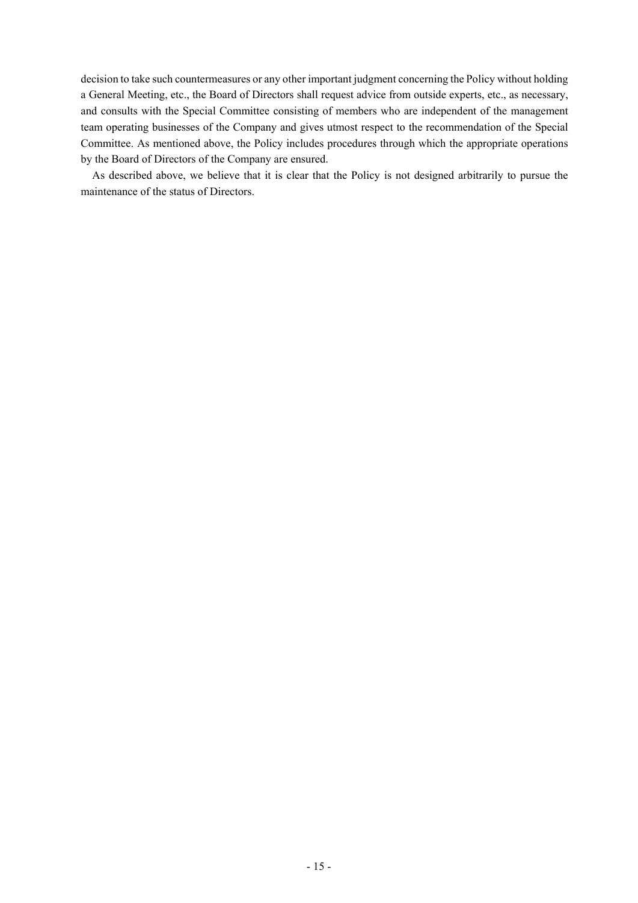decision to take such countermeasures or any other important judgment concerning the Policy without holding a General Meeting, etc., the Board of Directors shall request advice from outside experts, etc., as necessary, and consults with the Special Committee consisting of members who are independent of the management team operating businesses of the Company and gives utmost respect to the recommendation of the Special Committee. As mentioned above, the Policy includes procedures through which the appropriate operations by the Board of Directors of the Company are ensured.

As described above, we believe that it is clear that the Policy is not designed arbitrarily to pursue the maintenance of the status of Directors.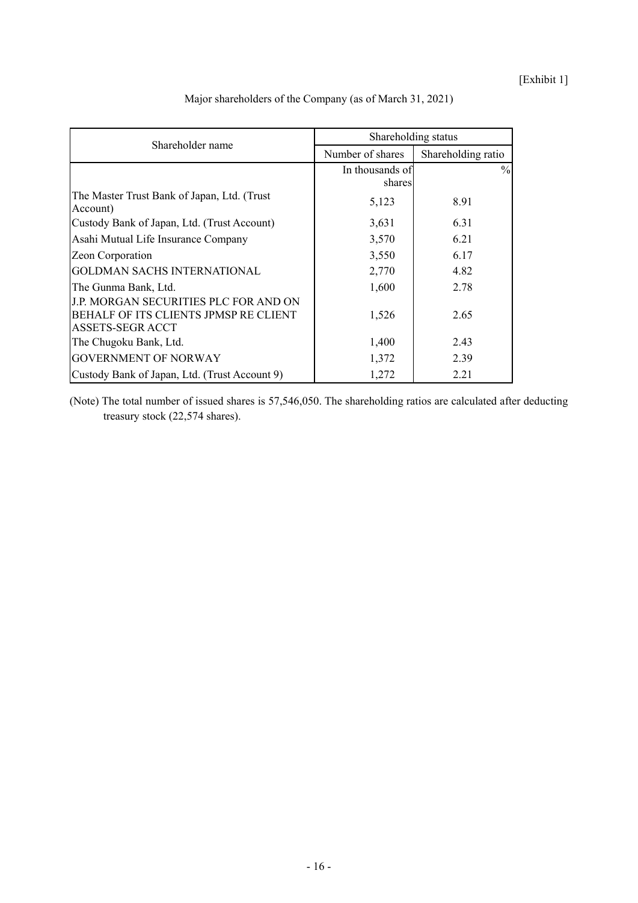[Exhibit 1]

| Shareholder name                                                                                   | Shareholding status |                    |  |
|----------------------------------------------------------------------------------------------------|---------------------|--------------------|--|
|                                                                                                    | Number of shares    | Shareholding ratio |  |
|                                                                                                    | In thousands of     | $\%$               |  |
|                                                                                                    | shares              |                    |  |
| The Master Trust Bank of Japan, Ltd. (Trust<br>Account)                                            | 5,123               | 8.91               |  |
| Custody Bank of Japan, Ltd. (Trust Account)                                                        | 3,631               | 6.31               |  |
| Asahi Mutual Life Insurance Company                                                                | 3,570               | 6.21               |  |
| Zeon Corporation                                                                                   | 3,550               | 6.17               |  |
| <b>GOLDMAN SACHS INTERNATIONAL</b>                                                                 | 2,770               | 4.82               |  |
| The Gunma Bank, Ltd.                                                                               | 1,600               | 2.78               |  |
| J.P. MORGAN SECURITIES PLC FOR AND ON<br>BEHALF OF ITS CLIENTS JPMSP RE CLIENT<br>ASSETS-SEGR ACCT | 1,526               | 2.65               |  |
| The Chugoku Bank, Ltd.                                                                             | 1,400               | 2.43               |  |
| <b>GOVERNMENT OF NORWAY</b>                                                                        | 1,372               | 2.39               |  |
| Custody Bank of Japan, Ltd. (Trust Account 9)                                                      | 1,272               | 2.21               |  |

Major shareholders of the Company (as of March 31, 2021)

(Note) The total number of issued shares is 57,546,050. The shareholding ratios are calculated after deducting treasury stock (22,574 shares).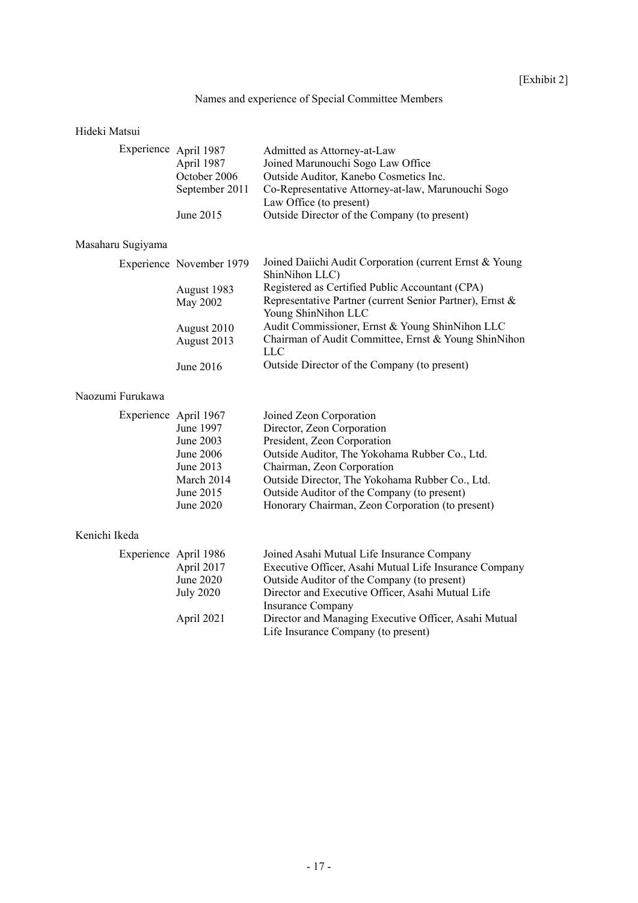# Names and experience of Special Committee Members

# Hideki Matsui

| Experience April 1987 | Admitted as Attorney-at-Law                        |
|-----------------------|----------------------------------------------------|
| April 1987            | Joined Marunouchi Sogo Law Office                  |
| October 2006          | Outside Auditor, Kanebo Cosmetics Inc.             |
| September 2011        | Co-Representative Attorney-at-law, Marunouchi Sogo |
|                       | Law Office (to present)                            |
| June $2015$           | Outside Director of the Company (to present)       |
|                       |                                                    |

# Masaharu Sugiyama

|  | Experience November 1979 | Joined Daiichi Audit Corporation (current Ernst & Young  |
|--|--------------------------|----------------------------------------------------------|
|  |                          | ShinNihon LLC)                                           |
|  | August 1983              | Registered as Certified Public Accountant (CPA)          |
|  | May 2002                 | Representative Partner (current Senior Partner), Ernst & |
|  |                          | Young ShinNihon LLC                                      |
|  | August 2010              | Audit Commissioner, Ernst & Young ShinNihon LLC          |
|  | August 2013              | Chairman of Audit Committee, Ernst & Young ShinNihon     |
|  |                          | LLC                                                      |
|  | June 2016                | Outside Director of the Company (to present)             |
|  |                          |                                                          |

# Naozumi Furukawa

| Experience April 1967 | Joined Zeon Corporation                          |
|-----------------------|--------------------------------------------------|
| June 1997             | Director, Zeon Corporation                       |
| June 2003             | President, Zeon Corporation                      |
| June 2006             | Outside Auditor, The Yokohama Rubber Co., Ltd.   |
| June 2013             | Chairman, Zeon Corporation                       |
| March 2014            | Outside Director, The Yokohama Rubber Co., Ltd.  |
| June 2015             | Outside Auditor of the Company (to present)      |
| June 2020             | Honorary Chairman, Zeon Corporation (to present) |
|                       |                                                  |

# Kenichi Ikeda

| Experience April 1986 | Joined Asahi Mutual Life Insurance Company             |
|-----------------------|--------------------------------------------------------|
| April 2017            | Executive Officer, Asahi Mutual Life Insurance Company |
| June 2020             | Outside Auditor of the Company (to present)            |
| <b>July 2020</b>      | Director and Executive Officer, Asahi Mutual Life      |
|                       | Insurance Company                                      |
| April 2021            | Director and Managing Executive Officer, Asahi Mutual  |
|                       | Life Insurance Company (to present)                    |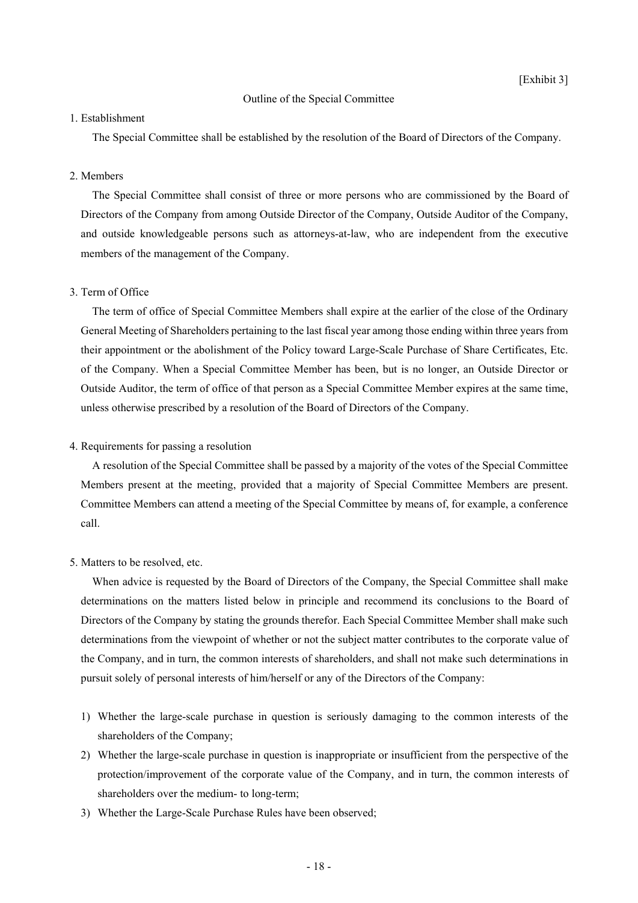## Outline of the Special Committee

## 1. Establishment

The Special Committee shall be established by the resolution of the Board of Directors of the Company.

## 2. Members

The Special Committee shall consist of three or more persons who are commissioned by the Board of Directors of the Company from among Outside Director of the Company, Outside Auditor of the Company, and outside knowledgeable persons such as attorneys-at-law, who are independent from the executive members of the management of the Company.

## 3. Term of Office

The term of office of Special Committee Members shall expire at the earlier of the close of the Ordinary General Meeting of Shareholders pertaining to the last fiscal year among those ending within three years from their appointment or the abolishment of the Policy toward Large-Scale Purchase of Share Certificates, Etc. of the Company. When a Special Committee Member has been, but is no longer, an Outside Director or Outside Auditor, the term of office of that person as a Special Committee Member expires at the same time, unless otherwise prescribed by a resolution of the Board of Directors of the Company.

## 4. Requirements for passing a resolution

A resolution of the Special Committee shall be passed by a majority of the votes of the Special Committee Members present at the meeting, provided that a majority of Special Committee Members are present. Committee Members can attend a meeting of the Special Committee by means of, for example, a conference call.

#### 5. Matters to be resolved, etc.

When advice is requested by the Board of Directors of the Company, the Special Committee shall make determinations on the matters listed below in principle and recommend its conclusions to the Board of Directors of the Company by stating the grounds therefor. Each Special Committee Member shall make such determinations from the viewpoint of whether or not the subject matter contributes to the corporate value of the Company, and in turn, the common interests of shareholders, and shall not make such determinations in pursuit solely of personal interests of him/herself or any of the Directors of the Company:

- 1) Whether the large-scale purchase in question is seriously damaging to the common interests of the shareholders of the Company;
- 2) Whether the large-scale purchase in question is inappropriate or insufficient from the perspective of the protection/improvement of the corporate value of the Company, and in turn, the common interests of shareholders over the medium- to long-term;
- 3) Whether the Large-Scale Purchase Rules have been observed;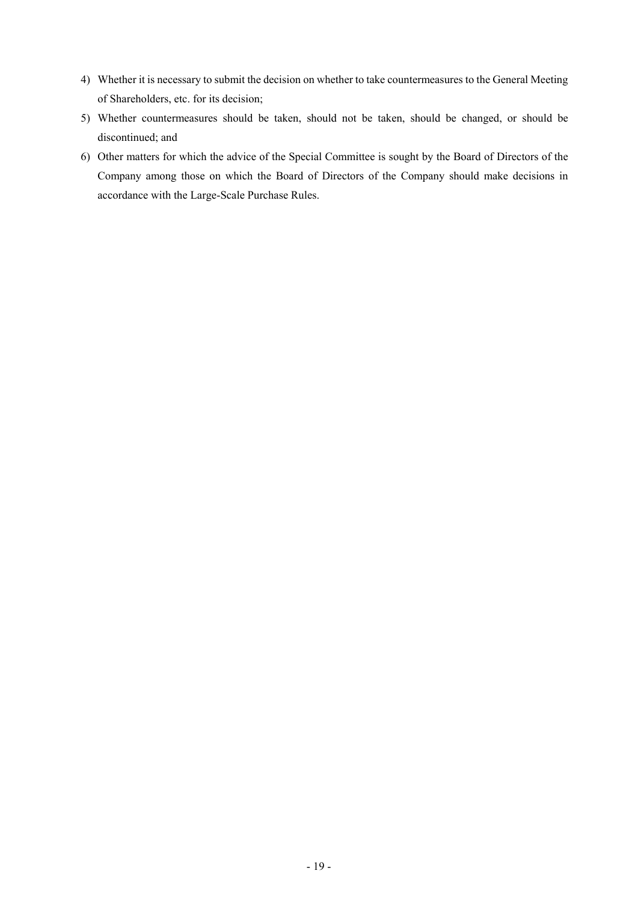- 4) Whether it is necessary to submit the decision on whether to take countermeasures to the General Meeting of Shareholders, etc. for its decision;
- 5) Whether countermeasures should be taken, should not be taken, should be changed, or should be discontinued; and
- 6) Other matters for which the advice of the Special Committee is sought by the Board of Directors of the Company among those on which the Board of Directors of the Company should make decisions in accordance with the Large-Scale Purchase Rules.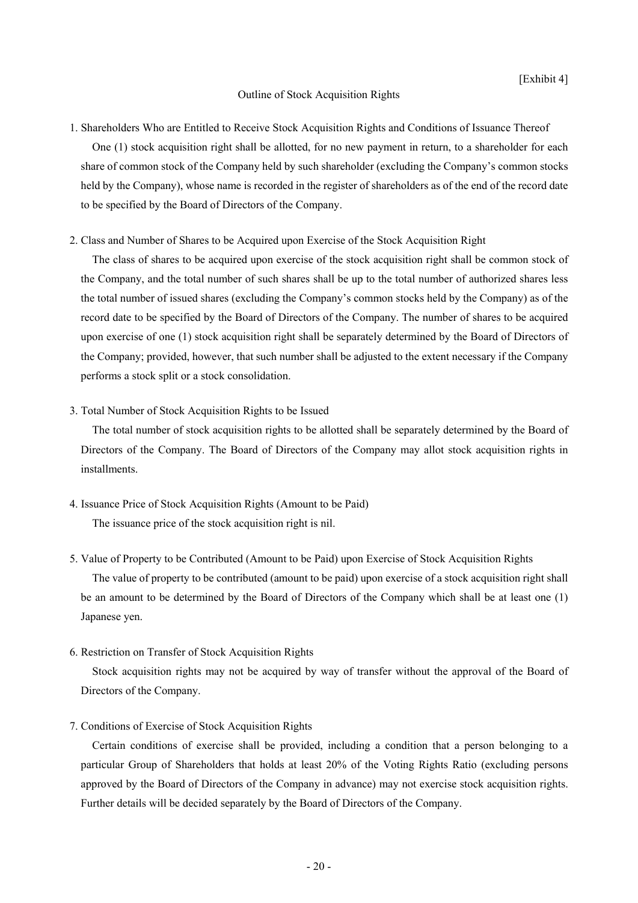#### Outline of Stock Acquisition Rights

# 1. Shareholders Who are Entitled to Receive Stock Acquisition Rights and Conditions of Issuance Thereof

One (1) stock acquisition right shall be allotted, for no new payment in return, to a shareholder for each share of common stock of the Company held by such shareholder (excluding the Company's common stocks held by the Company), whose name is recorded in the register of shareholders as of the end of the record date to be specified by the Board of Directors of the Company.

## 2. Class and Number of Shares to be Acquired upon Exercise of the Stock Acquisition Right

The class of shares to be acquired upon exercise of the stock acquisition right shall be common stock of the Company, and the total number of such shares shall be up to the total number of authorized shares less the total number of issued shares (excluding the Company's common stocks held by the Company) as of the record date to be specified by the Board of Directors of the Company. The number of shares to be acquired upon exercise of one (1) stock acquisition right shall be separately determined by the Board of Directors of the Company; provided, however, that such number shall be adjusted to the extent necessary if the Company performs a stock split or a stock consolidation.

#### 3. Total Number of Stock Acquisition Rights to be Issued

The total number of stock acquisition rights to be allotted shall be separately determined by the Board of Directors of the Company. The Board of Directors of the Company may allot stock acquisition rights in installments.

4. Issuance Price of Stock Acquisition Rights (Amount to be Paid) The issuance price of the stock acquisition right is nil.

# 5. Value of Property to be Contributed (Amount to be Paid) upon Exercise of Stock Acquisition Rights The value of property to be contributed (amount to be paid) upon exercise of a stock acquisition right shall be an amount to be determined by the Board of Directors of the Company which shall be at least one (1) Japanese yen.

## 6. Restriction on Transfer of Stock Acquisition Rights

Stock acquisition rights may not be acquired by way of transfer without the approval of the Board of Directors of the Company.

## 7. Conditions of Exercise of Stock Acquisition Rights

Certain conditions of exercise shall be provided, including a condition that a person belonging to a particular Group of Shareholders that holds at least 20% of the Voting Rights Ratio (excluding persons approved by the Board of Directors of the Company in advance) may not exercise stock acquisition rights. Further details will be decided separately by the Board of Directors of the Company.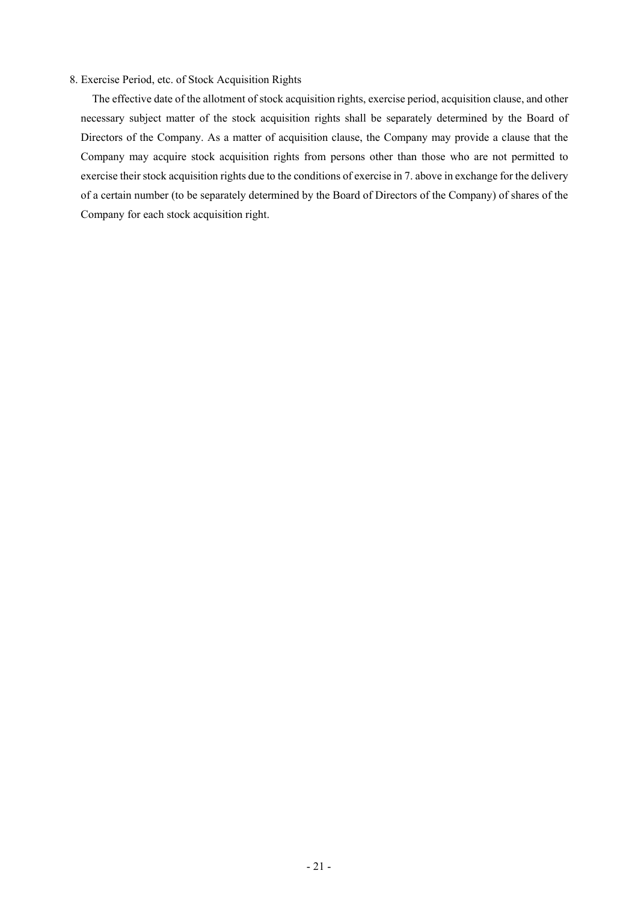## 8. Exercise Period, etc. of Stock Acquisition Rights

The effective date of the allotment of stock acquisition rights, exercise period, acquisition clause, and other necessary subject matter of the stock acquisition rights shall be separately determined by the Board of Directors of the Company. As a matter of acquisition clause, the Company may provide a clause that the Company may acquire stock acquisition rights from persons other than those who are not permitted to exercise their stock acquisition rights due to the conditions of exercise in 7. above in exchange for the delivery of a certain number (to be separately determined by the Board of Directors of the Company) of shares of the Company for each stock acquisition right.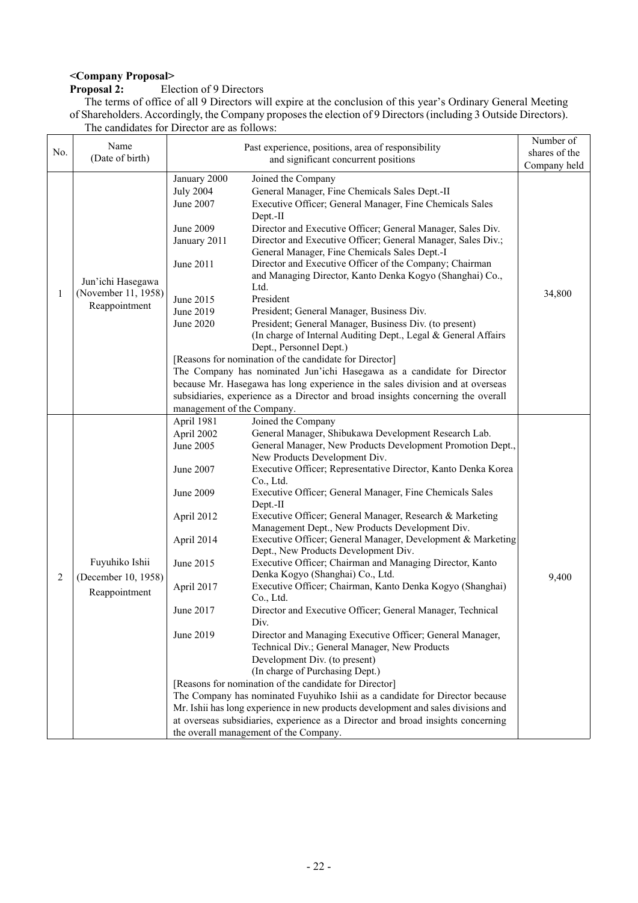# **<Company Proposal>**

# **Election of 9 Directors**

The terms of office of all 9 Directors will expire at the conclusion of this year's Ordinary General Meeting of Shareholders. Accordingly, the Company proposes the election of 9 Directors (including 3 Outside Directors). The candidates for Director are as follows:

|              | Name                                                      | Past experience, positions, area of responsibility                                                                                                                                                                                                                                                                                                                                                                                                                                                                                                                                                                                                                                                                                                                                                                                                                                                                                                                                                                                                                                                                                                                                                                                                                                                                                                                                                                                                                                                       | Number of     |
|--------------|-----------------------------------------------------------|----------------------------------------------------------------------------------------------------------------------------------------------------------------------------------------------------------------------------------------------------------------------------------------------------------------------------------------------------------------------------------------------------------------------------------------------------------------------------------------------------------------------------------------------------------------------------------------------------------------------------------------------------------------------------------------------------------------------------------------------------------------------------------------------------------------------------------------------------------------------------------------------------------------------------------------------------------------------------------------------------------------------------------------------------------------------------------------------------------------------------------------------------------------------------------------------------------------------------------------------------------------------------------------------------------------------------------------------------------------------------------------------------------------------------------------------------------------------------------------------------------|---------------|
| No.          | (Date of birth)                                           | and significant concurrent positions                                                                                                                                                                                                                                                                                                                                                                                                                                                                                                                                                                                                                                                                                                                                                                                                                                                                                                                                                                                                                                                                                                                                                                                                                                                                                                                                                                                                                                                                     | shares of the |
|              |                                                           |                                                                                                                                                                                                                                                                                                                                                                                                                                                                                                                                                                                                                                                                                                                                                                                                                                                                                                                                                                                                                                                                                                                                                                                                                                                                                                                                                                                                                                                                                                          | Company held  |
| $\mathbf{1}$ | Jun'ichi Hasegawa<br>(November 11, 1958)<br>Reappointment | January 2000<br>Joined the Company<br>General Manager, Fine Chemicals Sales Dept.-II<br><b>July 2004</b><br>June 2007<br>Executive Officer; General Manager, Fine Chemicals Sales<br>Dept.-II<br>June 2009<br>Director and Executive Officer; General Manager, Sales Div.<br>Director and Executive Officer; General Manager, Sales Div.;<br>January 2011<br>General Manager, Fine Chemicals Sales Dept.-I<br>Director and Executive Officer of the Company; Chairman<br>June 2011<br>and Managing Director, Kanto Denka Kogyo (Shanghai) Co.,<br>Ltd.<br>President<br>June 2015<br>June 2019<br>President; General Manager, Business Div.                                                                                                                                                                                                                                                                                                                                                                                                                                                                                                                                                                                                                                                                                                                                                                                                                                                               | 34,800        |
|              |                                                           | President; General Manager, Business Div. (to present)<br>June 2020<br>(In charge of Internal Auditing Dept., Legal & General Affairs<br>Dept., Personnel Dept.)<br>[Reasons for nomination of the candidate for Director]<br>The Company has nominated Jun'ichi Hasegawa as a candidate for Director<br>because Mr. Hasegawa has long experience in the sales division and at overseas<br>subsidiaries, experience as a Director and broad insights concerning the overall<br>management of the Company.                                                                                                                                                                                                                                                                                                                                                                                                                                                                                                                                                                                                                                                                                                                                                                                                                                                                                                                                                                                                |               |
| 2            | Fuyuhiko Ishii<br>(December 10, 1958)<br>Reappointment    | Joined the Company<br>April 1981<br>April 2002<br>General Manager, Shibukawa Development Research Lab.<br>General Manager, New Products Development Promotion Dept.,<br>June 2005<br>New Products Development Div.<br>Executive Officer; Representative Director, Kanto Denka Korea<br>June 2007<br>Co., Ltd.<br>Executive Officer; General Manager, Fine Chemicals Sales<br>June 2009<br>Dept.-II<br>Executive Officer; General Manager, Research & Marketing<br>April 2012<br>Management Dept., New Products Development Div.<br>Executive Officer; General Manager, Development & Marketing<br>April 2014<br>Dept., New Products Development Div.<br>Executive Officer; Chairman and Managing Director, Kanto<br>June 2015<br>Denka Kogyo (Shanghai) Co., Ltd.<br>Executive Officer; Chairman, Kanto Denka Kogyo (Shanghai)<br>April 2017<br>Co., Ltd.<br>June 2017<br>Director and Executive Officer; General Manager, Technical<br>Div.<br>June 2019<br>Director and Managing Executive Officer; General Manager,<br>Technical Div.; General Manager, New Products<br>Development Div. (to present)<br>(In charge of Purchasing Dept.)<br>[Reasons for nomination of the candidate for Director]<br>The Company has nominated Fuyuhiko Ishii as a candidate for Director because<br>Mr. Ishii has long experience in new products development and sales divisions and<br>at overseas subsidiaries, experience as a Director and broad insights concerning<br>the overall management of the Company. | 9,400         |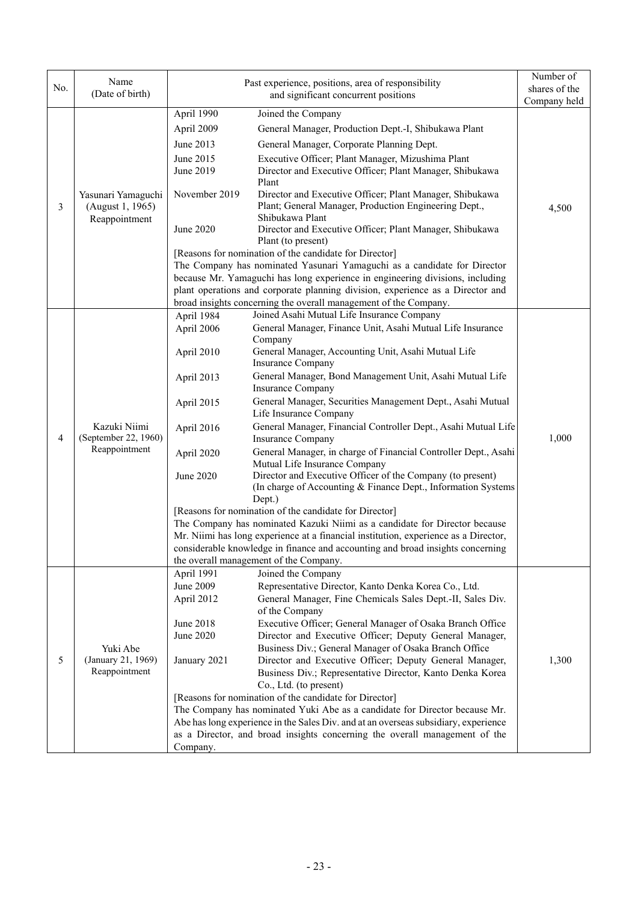| (Date of birth)<br>and significant concurrent positions<br>Company held<br>April 1990<br>Joined the Company<br>April 2009<br>General Manager, Production Dept.-I, Shibukawa Plant<br>June 2013<br>General Manager, Corporate Planning Dept.<br>June 2015<br>Executive Officer; Plant Manager, Mizushima Plant<br>June 2019<br>Director and Executive Officer; Plant Manager, Shibukawa<br>Plant<br>November 2019<br>Director and Executive Officer; Plant Manager, Shibukawa<br>Yasunari Yamaguchi<br>Plant; General Manager, Production Engineering Dept.,<br>(August 1, 1965)<br>3<br>4,500<br>Shibukawa Plant<br>Reappointment<br>June 2020<br>Director and Executive Officer; Plant Manager, Shibukawa<br>Plant (to present)<br>[Reasons for nomination of the candidate for Director]<br>The Company has nominated Yasunari Yamaguchi as a candidate for Director<br>because Mr. Yamaguchi has long experience in engineering divisions, including<br>plant operations and corporate planning division, experience as a Director and<br>broad insights concerning the overall management of the Company.<br>Joined Asahi Mutual Life Insurance Company<br>April 1984<br>General Manager, Finance Unit, Asahi Mutual Life Insurance<br>April 2006<br>Company<br>General Manager, Accounting Unit, Asahi Mutual Life<br>April 2010<br>Insurance Company<br>General Manager, Bond Management Unit, Asahi Mutual Life<br>April 2013<br><b>Insurance Company</b><br>General Manager, Securities Management Dept., Asahi Mutual<br>April 2015<br>Life Insurance Company<br>Kazuki Niimi<br>General Manager, Financial Controller Dept., Asahi Mutual Life<br>April 2016<br>(September 22, 1960)<br>1,000<br>4<br>Insurance Company<br>Reappointment<br>General Manager, in charge of Financial Controller Dept., Asahi<br>April 2020<br>Mutual Life Insurance Company<br>Director and Executive Officer of the Company (to present)<br>June 2020<br>(In charge of Accounting & Finance Dept., Information Systems<br>Dept.)<br>[Reasons for nomination of the candidate for Director]<br>The Company has nominated Kazuki Niimi as a candidate for Director because<br>Mr. Niimi has long experience at a financial institution, experience as a Director,<br>considerable knowledge in finance and accounting and broad insights concerning<br>the overall management of the Company.<br>April 1991<br>Joined the Company<br>June 2009<br>Representative Director, Kanto Denka Korea Co., Ltd.<br>April 2012<br>General Manager, Fine Chemicals Sales Dept.-II, Sales Div.<br>of the Company<br>June 2018<br>Executive Officer; General Manager of Osaka Branch Office<br>June 2020<br>Director and Executive Officer; Deputy General Manager,<br>Business Div.; General Manager of Osaka Branch Office<br>Yuki Abe<br>5<br>(January 21, 1969)<br>1,300<br>January 2021<br>Director and Executive Officer; Deputy General Manager,<br>Reappointment<br>Business Div.; Representative Director, Kanto Denka Korea<br>Co., Ltd. (to present)<br>[Reasons for nomination of the candidate for Director]<br>The Company has nominated Yuki Abe as a candidate for Director because Mr.<br>Abe has long experience in the Sales Div. and at an overseas subsidiary, experience<br>as a Director, and broad insights concerning the overall management of the<br>Company. |     | Name | Past experience, positions, area of responsibility | Number of     |
|---------------------------------------------------------------------------------------------------------------------------------------------------------------------------------------------------------------------------------------------------------------------------------------------------------------------------------------------------------------------------------------------------------------------------------------------------------------------------------------------------------------------------------------------------------------------------------------------------------------------------------------------------------------------------------------------------------------------------------------------------------------------------------------------------------------------------------------------------------------------------------------------------------------------------------------------------------------------------------------------------------------------------------------------------------------------------------------------------------------------------------------------------------------------------------------------------------------------------------------------------------------------------------------------------------------------------------------------------------------------------------------------------------------------------------------------------------------------------------------------------------------------------------------------------------------------------------------------------------------------------------------------------------------------------------------------------------------------------------------------------------------------------------------------------------------------------------------------------------------------------------------------------------------------------------------------------------------------------------------------------------------------------------------------------------------------------------------------------------------------------------------------------------------------------------------------------------------------------------------------------------------------------------------------------------------------------------------------------------------------------------------------------------------------------------------------------------------------------------------------------------------------------------------------------------------------------------------------------------------------------------------------------------------------------------------------------------------------------------------------------------------------------------------------------------------------------------------------------------------------------------------------------------------------------------------------------------------------------------------------------------------------------------------------------------------------------------------------------------------------------------------------------------------------------------------------------------------------------------------------------------------------------------------------------------------------------------------------------------------------|-----|------|----------------------------------------------------|---------------|
|                                                                                                                                                                                                                                                                                                                                                                                                                                                                                                                                                                                                                                                                                                                                                                                                                                                                                                                                                                                                                                                                                                                                                                                                                                                                                                                                                                                                                                                                                                                                                                                                                                                                                                                                                                                                                                                                                                                                                                                                                                                                                                                                                                                                                                                                                                                                                                                                                                                                                                                                                                                                                                                                                                                                                                                                                                                                                                                                                                                                                                                                                                                                                                                                                                                                                                                                                                     | No. |      |                                                    | shares of the |
|                                                                                                                                                                                                                                                                                                                                                                                                                                                                                                                                                                                                                                                                                                                                                                                                                                                                                                                                                                                                                                                                                                                                                                                                                                                                                                                                                                                                                                                                                                                                                                                                                                                                                                                                                                                                                                                                                                                                                                                                                                                                                                                                                                                                                                                                                                                                                                                                                                                                                                                                                                                                                                                                                                                                                                                                                                                                                                                                                                                                                                                                                                                                                                                                                                                                                                                                                                     |     |      |                                                    |               |
|                                                                                                                                                                                                                                                                                                                                                                                                                                                                                                                                                                                                                                                                                                                                                                                                                                                                                                                                                                                                                                                                                                                                                                                                                                                                                                                                                                                                                                                                                                                                                                                                                                                                                                                                                                                                                                                                                                                                                                                                                                                                                                                                                                                                                                                                                                                                                                                                                                                                                                                                                                                                                                                                                                                                                                                                                                                                                                                                                                                                                                                                                                                                                                                                                                                                                                                                                                     |     |      |                                                    |               |
|                                                                                                                                                                                                                                                                                                                                                                                                                                                                                                                                                                                                                                                                                                                                                                                                                                                                                                                                                                                                                                                                                                                                                                                                                                                                                                                                                                                                                                                                                                                                                                                                                                                                                                                                                                                                                                                                                                                                                                                                                                                                                                                                                                                                                                                                                                                                                                                                                                                                                                                                                                                                                                                                                                                                                                                                                                                                                                                                                                                                                                                                                                                                                                                                                                                                                                                                                                     |     |      |                                                    |               |
|                                                                                                                                                                                                                                                                                                                                                                                                                                                                                                                                                                                                                                                                                                                                                                                                                                                                                                                                                                                                                                                                                                                                                                                                                                                                                                                                                                                                                                                                                                                                                                                                                                                                                                                                                                                                                                                                                                                                                                                                                                                                                                                                                                                                                                                                                                                                                                                                                                                                                                                                                                                                                                                                                                                                                                                                                                                                                                                                                                                                                                                                                                                                                                                                                                                                                                                                                                     |     |      |                                                    |               |
|                                                                                                                                                                                                                                                                                                                                                                                                                                                                                                                                                                                                                                                                                                                                                                                                                                                                                                                                                                                                                                                                                                                                                                                                                                                                                                                                                                                                                                                                                                                                                                                                                                                                                                                                                                                                                                                                                                                                                                                                                                                                                                                                                                                                                                                                                                                                                                                                                                                                                                                                                                                                                                                                                                                                                                                                                                                                                                                                                                                                                                                                                                                                                                                                                                                                                                                                                                     |     |      |                                                    |               |
|                                                                                                                                                                                                                                                                                                                                                                                                                                                                                                                                                                                                                                                                                                                                                                                                                                                                                                                                                                                                                                                                                                                                                                                                                                                                                                                                                                                                                                                                                                                                                                                                                                                                                                                                                                                                                                                                                                                                                                                                                                                                                                                                                                                                                                                                                                                                                                                                                                                                                                                                                                                                                                                                                                                                                                                                                                                                                                                                                                                                                                                                                                                                                                                                                                                                                                                                                                     |     |      |                                                    |               |
|                                                                                                                                                                                                                                                                                                                                                                                                                                                                                                                                                                                                                                                                                                                                                                                                                                                                                                                                                                                                                                                                                                                                                                                                                                                                                                                                                                                                                                                                                                                                                                                                                                                                                                                                                                                                                                                                                                                                                                                                                                                                                                                                                                                                                                                                                                                                                                                                                                                                                                                                                                                                                                                                                                                                                                                                                                                                                                                                                                                                                                                                                                                                                                                                                                                                                                                                                                     |     |      |                                                    |               |
|                                                                                                                                                                                                                                                                                                                                                                                                                                                                                                                                                                                                                                                                                                                                                                                                                                                                                                                                                                                                                                                                                                                                                                                                                                                                                                                                                                                                                                                                                                                                                                                                                                                                                                                                                                                                                                                                                                                                                                                                                                                                                                                                                                                                                                                                                                                                                                                                                                                                                                                                                                                                                                                                                                                                                                                                                                                                                                                                                                                                                                                                                                                                                                                                                                                                                                                                                                     |     |      |                                                    |               |
|                                                                                                                                                                                                                                                                                                                                                                                                                                                                                                                                                                                                                                                                                                                                                                                                                                                                                                                                                                                                                                                                                                                                                                                                                                                                                                                                                                                                                                                                                                                                                                                                                                                                                                                                                                                                                                                                                                                                                                                                                                                                                                                                                                                                                                                                                                                                                                                                                                                                                                                                                                                                                                                                                                                                                                                                                                                                                                                                                                                                                                                                                                                                                                                                                                                                                                                                                                     |     |      |                                                    |               |
|                                                                                                                                                                                                                                                                                                                                                                                                                                                                                                                                                                                                                                                                                                                                                                                                                                                                                                                                                                                                                                                                                                                                                                                                                                                                                                                                                                                                                                                                                                                                                                                                                                                                                                                                                                                                                                                                                                                                                                                                                                                                                                                                                                                                                                                                                                                                                                                                                                                                                                                                                                                                                                                                                                                                                                                                                                                                                                                                                                                                                                                                                                                                                                                                                                                                                                                                                                     |     |      |                                                    |               |
|                                                                                                                                                                                                                                                                                                                                                                                                                                                                                                                                                                                                                                                                                                                                                                                                                                                                                                                                                                                                                                                                                                                                                                                                                                                                                                                                                                                                                                                                                                                                                                                                                                                                                                                                                                                                                                                                                                                                                                                                                                                                                                                                                                                                                                                                                                                                                                                                                                                                                                                                                                                                                                                                                                                                                                                                                                                                                                                                                                                                                                                                                                                                                                                                                                                                                                                                                                     |     |      |                                                    |               |
|                                                                                                                                                                                                                                                                                                                                                                                                                                                                                                                                                                                                                                                                                                                                                                                                                                                                                                                                                                                                                                                                                                                                                                                                                                                                                                                                                                                                                                                                                                                                                                                                                                                                                                                                                                                                                                                                                                                                                                                                                                                                                                                                                                                                                                                                                                                                                                                                                                                                                                                                                                                                                                                                                                                                                                                                                                                                                                                                                                                                                                                                                                                                                                                                                                                                                                                                                                     |     |      |                                                    |               |
|                                                                                                                                                                                                                                                                                                                                                                                                                                                                                                                                                                                                                                                                                                                                                                                                                                                                                                                                                                                                                                                                                                                                                                                                                                                                                                                                                                                                                                                                                                                                                                                                                                                                                                                                                                                                                                                                                                                                                                                                                                                                                                                                                                                                                                                                                                                                                                                                                                                                                                                                                                                                                                                                                                                                                                                                                                                                                                                                                                                                                                                                                                                                                                                                                                                                                                                                                                     |     |      |                                                    |               |
|                                                                                                                                                                                                                                                                                                                                                                                                                                                                                                                                                                                                                                                                                                                                                                                                                                                                                                                                                                                                                                                                                                                                                                                                                                                                                                                                                                                                                                                                                                                                                                                                                                                                                                                                                                                                                                                                                                                                                                                                                                                                                                                                                                                                                                                                                                                                                                                                                                                                                                                                                                                                                                                                                                                                                                                                                                                                                                                                                                                                                                                                                                                                                                                                                                                                                                                                                                     |     |      |                                                    |               |
|                                                                                                                                                                                                                                                                                                                                                                                                                                                                                                                                                                                                                                                                                                                                                                                                                                                                                                                                                                                                                                                                                                                                                                                                                                                                                                                                                                                                                                                                                                                                                                                                                                                                                                                                                                                                                                                                                                                                                                                                                                                                                                                                                                                                                                                                                                                                                                                                                                                                                                                                                                                                                                                                                                                                                                                                                                                                                                                                                                                                                                                                                                                                                                                                                                                                                                                                                                     |     |      |                                                    |               |
|                                                                                                                                                                                                                                                                                                                                                                                                                                                                                                                                                                                                                                                                                                                                                                                                                                                                                                                                                                                                                                                                                                                                                                                                                                                                                                                                                                                                                                                                                                                                                                                                                                                                                                                                                                                                                                                                                                                                                                                                                                                                                                                                                                                                                                                                                                                                                                                                                                                                                                                                                                                                                                                                                                                                                                                                                                                                                                                                                                                                                                                                                                                                                                                                                                                                                                                                                                     |     |      |                                                    |               |
|                                                                                                                                                                                                                                                                                                                                                                                                                                                                                                                                                                                                                                                                                                                                                                                                                                                                                                                                                                                                                                                                                                                                                                                                                                                                                                                                                                                                                                                                                                                                                                                                                                                                                                                                                                                                                                                                                                                                                                                                                                                                                                                                                                                                                                                                                                                                                                                                                                                                                                                                                                                                                                                                                                                                                                                                                                                                                                                                                                                                                                                                                                                                                                                                                                                                                                                                                                     |     |      |                                                    |               |
|                                                                                                                                                                                                                                                                                                                                                                                                                                                                                                                                                                                                                                                                                                                                                                                                                                                                                                                                                                                                                                                                                                                                                                                                                                                                                                                                                                                                                                                                                                                                                                                                                                                                                                                                                                                                                                                                                                                                                                                                                                                                                                                                                                                                                                                                                                                                                                                                                                                                                                                                                                                                                                                                                                                                                                                                                                                                                                                                                                                                                                                                                                                                                                                                                                                                                                                                                                     |     |      |                                                    |               |
|                                                                                                                                                                                                                                                                                                                                                                                                                                                                                                                                                                                                                                                                                                                                                                                                                                                                                                                                                                                                                                                                                                                                                                                                                                                                                                                                                                                                                                                                                                                                                                                                                                                                                                                                                                                                                                                                                                                                                                                                                                                                                                                                                                                                                                                                                                                                                                                                                                                                                                                                                                                                                                                                                                                                                                                                                                                                                                                                                                                                                                                                                                                                                                                                                                                                                                                                                                     |     |      |                                                    |               |
|                                                                                                                                                                                                                                                                                                                                                                                                                                                                                                                                                                                                                                                                                                                                                                                                                                                                                                                                                                                                                                                                                                                                                                                                                                                                                                                                                                                                                                                                                                                                                                                                                                                                                                                                                                                                                                                                                                                                                                                                                                                                                                                                                                                                                                                                                                                                                                                                                                                                                                                                                                                                                                                                                                                                                                                                                                                                                                                                                                                                                                                                                                                                                                                                                                                                                                                                                                     |     |      |                                                    |               |
|                                                                                                                                                                                                                                                                                                                                                                                                                                                                                                                                                                                                                                                                                                                                                                                                                                                                                                                                                                                                                                                                                                                                                                                                                                                                                                                                                                                                                                                                                                                                                                                                                                                                                                                                                                                                                                                                                                                                                                                                                                                                                                                                                                                                                                                                                                                                                                                                                                                                                                                                                                                                                                                                                                                                                                                                                                                                                                                                                                                                                                                                                                                                                                                                                                                                                                                                                                     |     |      |                                                    |               |
|                                                                                                                                                                                                                                                                                                                                                                                                                                                                                                                                                                                                                                                                                                                                                                                                                                                                                                                                                                                                                                                                                                                                                                                                                                                                                                                                                                                                                                                                                                                                                                                                                                                                                                                                                                                                                                                                                                                                                                                                                                                                                                                                                                                                                                                                                                                                                                                                                                                                                                                                                                                                                                                                                                                                                                                                                                                                                                                                                                                                                                                                                                                                                                                                                                                                                                                                                                     |     |      |                                                    |               |
|                                                                                                                                                                                                                                                                                                                                                                                                                                                                                                                                                                                                                                                                                                                                                                                                                                                                                                                                                                                                                                                                                                                                                                                                                                                                                                                                                                                                                                                                                                                                                                                                                                                                                                                                                                                                                                                                                                                                                                                                                                                                                                                                                                                                                                                                                                                                                                                                                                                                                                                                                                                                                                                                                                                                                                                                                                                                                                                                                                                                                                                                                                                                                                                                                                                                                                                                                                     |     |      |                                                    |               |
|                                                                                                                                                                                                                                                                                                                                                                                                                                                                                                                                                                                                                                                                                                                                                                                                                                                                                                                                                                                                                                                                                                                                                                                                                                                                                                                                                                                                                                                                                                                                                                                                                                                                                                                                                                                                                                                                                                                                                                                                                                                                                                                                                                                                                                                                                                                                                                                                                                                                                                                                                                                                                                                                                                                                                                                                                                                                                                                                                                                                                                                                                                                                                                                                                                                                                                                                                                     |     |      |                                                    |               |
|                                                                                                                                                                                                                                                                                                                                                                                                                                                                                                                                                                                                                                                                                                                                                                                                                                                                                                                                                                                                                                                                                                                                                                                                                                                                                                                                                                                                                                                                                                                                                                                                                                                                                                                                                                                                                                                                                                                                                                                                                                                                                                                                                                                                                                                                                                                                                                                                                                                                                                                                                                                                                                                                                                                                                                                                                                                                                                                                                                                                                                                                                                                                                                                                                                                                                                                                                                     |     |      |                                                    |               |
|                                                                                                                                                                                                                                                                                                                                                                                                                                                                                                                                                                                                                                                                                                                                                                                                                                                                                                                                                                                                                                                                                                                                                                                                                                                                                                                                                                                                                                                                                                                                                                                                                                                                                                                                                                                                                                                                                                                                                                                                                                                                                                                                                                                                                                                                                                                                                                                                                                                                                                                                                                                                                                                                                                                                                                                                                                                                                                                                                                                                                                                                                                                                                                                                                                                                                                                                                                     |     |      |                                                    |               |
|                                                                                                                                                                                                                                                                                                                                                                                                                                                                                                                                                                                                                                                                                                                                                                                                                                                                                                                                                                                                                                                                                                                                                                                                                                                                                                                                                                                                                                                                                                                                                                                                                                                                                                                                                                                                                                                                                                                                                                                                                                                                                                                                                                                                                                                                                                                                                                                                                                                                                                                                                                                                                                                                                                                                                                                                                                                                                                                                                                                                                                                                                                                                                                                                                                                                                                                                                                     |     |      |                                                    |               |
|                                                                                                                                                                                                                                                                                                                                                                                                                                                                                                                                                                                                                                                                                                                                                                                                                                                                                                                                                                                                                                                                                                                                                                                                                                                                                                                                                                                                                                                                                                                                                                                                                                                                                                                                                                                                                                                                                                                                                                                                                                                                                                                                                                                                                                                                                                                                                                                                                                                                                                                                                                                                                                                                                                                                                                                                                                                                                                                                                                                                                                                                                                                                                                                                                                                                                                                                                                     |     |      |                                                    |               |
|                                                                                                                                                                                                                                                                                                                                                                                                                                                                                                                                                                                                                                                                                                                                                                                                                                                                                                                                                                                                                                                                                                                                                                                                                                                                                                                                                                                                                                                                                                                                                                                                                                                                                                                                                                                                                                                                                                                                                                                                                                                                                                                                                                                                                                                                                                                                                                                                                                                                                                                                                                                                                                                                                                                                                                                                                                                                                                                                                                                                                                                                                                                                                                                                                                                                                                                                                                     |     |      |                                                    |               |
|                                                                                                                                                                                                                                                                                                                                                                                                                                                                                                                                                                                                                                                                                                                                                                                                                                                                                                                                                                                                                                                                                                                                                                                                                                                                                                                                                                                                                                                                                                                                                                                                                                                                                                                                                                                                                                                                                                                                                                                                                                                                                                                                                                                                                                                                                                                                                                                                                                                                                                                                                                                                                                                                                                                                                                                                                                                                                                                                                                                                                                                                                                                                                                                                                                                                                                                                                                     |     |      |                                                    |               |
|                                                                                                                                                                                                                                                                                                                                                                                                                                                                                                                                                                                                                                                                                                                                                                                                                                                                                                                                                                                                                                                                                                                                                                                                                                                                                                                                                                                                                                                                                                                                                                                                                                                                                                                                                                                                                                                                                                                                                                                                                                                                                                                                                                                                                                                                                                                                                                                                                                                                                                                                                                                                                                                                                                                                                                                                                                                                                                                                                                                                                                                                                                                                                                                                                                                                                                                                                                     |     |      |                                                    |               |
|                                                                                                                                                                                                                                                                                                                                                                                                                                                                                                                                                                                                                                                                                                                                                                                                                                                                                                                                                                                                                                                                                                                                                                                                                                                                                                                                                                                                                                                                                                                                                                                                                                                                                                                                                                                                                                                                                                                                                                                                                                                                                                                                                                                                                                                                                                                                                                                                                                                                                                                                                                                                                                                                                                                                                                                                                                                                                                                                                                                                                                                                                                                                                                                                                                                                                                                                                                     |     |      |                                                    |               |
|                                                                                                                                                                                                                                                                                                                                                                                                                                                                                                                                                                                                                                                                                                                                                                                                                                                                                                                                                                                                                                                                                                                                                                                                                                                                                                                                                                                                                                                                                                                                                                                                                                                                                                                                                                                                                                                                                                                                                                                                                                                                                                                                                                                                                                                                                                                                                                                                                                                                                                                                                                                                                                                                                                                                                                                                                                                                                                                                                                                                                                                                                                                                                                                                                                                                                                                                                                     |     |      |                                                    |               |
|                                                                                                                                                                                                                                                                                                                                                                                                                                                                                                                                                                                                                                                                                                                                                                                                                                                                                                                                                                                                                                                                                                                                                                                                                                                                                                                                                                                                                                                                                                                                                                                                                                                                                                                                                                                                                                                                                                                                                                                                                                                                                                                                                                                                                                                                                                                                                                                                                                                                                                                                                                                                                                                                                                                                                                                                                                                                                                                                                                                                                                                                                                                                                                                                                                                                                                                                                                     |     |      |                                                    |               |
|                                                                                                                                                                                                                                                                                                                                                                                                                                                                                                                                                                                                                                                                                                                                                                                                                                                                                                                                                                                                                                                                                                                                                                                                                                                                                                                                                                                                                                                                                                                                                                                                                                                                                                                                                                                                                                                                                                                                                                                                                                                                                                                                                                                                                                                                                                                                                                                                                                                                                                                                                                                                                                                                                                                                                                                                                                                                                                                                                                                                                                                                                                                                                                                                                                                                                                                                                                     |     |      |                                                    |               |
|                                                                                                                                                                                                                                                                                                                                                                                                                                                                                                                                                                                                                                                                                                                                                                                                                                                                                                                                                                                                                                                                                                                                                                                                                                                                                                                                                                                                                                                                                                                                                                                                                                                                                                                                                                                                                                                                                                                                                                                                                                                                                                                                                                                                                                                                                                                                                                                                                                                                                                                                                                                                                                                                                                                                                                                                                                                                                                                                                                                                                                                                                                                                                                                                                                                                                                                                                                     |     |      |                                                    |               |
|                                                                                                                                                                                                                                                                                                                                                                                                                                                                                                                                                                                                                                                                                                                                                                                                                                                                                                                                                                                                                                                                                                                                                                                                                                                                                                                                                                                                                                                                                                                                                                                                                                                                                                                                                                                                                                                                                                                                                                                                                                                                                                                                                                                                                                                                                                                                                                                                                                                                                                                                                                                                                                                                                                                                                                                                                                                                                                                                                                                                                                                                                                                                                                                                                                                                                                                                                                     |     |      |                                                    |               |
|                                                                                                                                                                                                                                                                                                                                                                                                                                                                                                                                                                                                                                                                                                                                                                                                                                                                                                                                                                                                                                                                                                                                                                                                                                                                                                                                                                                                                                                                                                                                                                                                                                                                                                                                                                                                                                                                                                                                                                                                                                                                                                                                                                                                                                                                                                                                                                                                                                                                                                                                                                                                                                                                                                                                                                                                                                                                                                                                                                                                                                                                                                                                                                                                                                                                                                                                                                     |     |      |                                                    |               |
|                                                                                                                                                                                                                                                                                                                                                                                                                                                                                                                                                                                                                                                                                                                                                                                                                                                                                                                                                                                                                                                                                                                                                                                                                                                                                                                                                                                                                                                                                                                                                                                                                                                                                                                                                                                                                                                                                                                                                                                                                                                                                                                                                                                                                                                                                                                                                                                                                                                                                                                                                                                                                                                                                                                                                                                                                                                                                                                                                                                                                                                                                                                                                                                                                                                                                                                                                                     |     |      |                                                    |               |
|                                                                                                                                                                                                                                                                                                                                                                                                                                                                                                                                                                                                                                                                                                                                                                                                                                                                                                                                                                                                                                                                                                                                                                                                                                                                                                                                                                                                                                                                                                                                                                                                                                                                                                                                                                                                                                                                                                                                                                                                                                                                                                                                                                                                                                                                                                                                                                                                                                                                                                                                                                                                                                                                                                                                                                                                                                                                                                                                                                                                                                                                                                                                                                                                                                                                                                                                                                     |     |      |                                                    |               |
|                                                                                                                                                                                                                                                                                                                                                                                                                                                                                                                                                                                                                                                                                                                                                                                                                                                                                                                                                                                                                                                                                                                                                                                                                                                                                                                                                                                                                                                                                                                                                                                                                                                                                                                                                                                                                                                                                                                                                                                                                                                                                                                                                                                                                                                                                                                                                                                                                                                                                                                                                                                                                                                                                                                                                                                                                                                                                                                                                                                                                                                                                                                                                                                                                                                                                                                                                                     |     |      |                                                    |               |
|                                                                                                                                                                                                                                                                                                                                                                                                                                                                                                                                                                                                                                                                                                                                                                                                                                                                                                                                                                                                                                                                                                                                                                                                                                                                                                                                                                                                                                                                                                                                                                                                                                                                                                                                                                                                                                                                                                                                                                                                                                                                                                                                                                                                                                                                                                                                                                                                                                                                                                                                                                                                                                                                                                                                                                                                                                                                                                                                                                                                                                                                                                                                                                                                                                                                                                                                                                     |     |      |                                                    |               |
|                                                                                                                                                                                                                                                                                                                                                                                                                                                                                                                                                                                                                                                                                                                                                                                                                                                                                                                                                                                                                                                                                                                                                                                                                                                                                                                                                                                                                                                                                                                                                                                                                                                                                                                                                                                                                                                                                                                                                                                                                                                                                                                                                                                                                                                                                                                                                                                                                                                                                                                                                                                                                                                                                                                                                                                                                                                                                                                                                                                                                                                                                                                                                                                                                                                                                                                                                                     |     |      |                                                    |               |
|                                                                                                                                                                                                                                                                                                                                                                                                                                                                                                                                                                                                                                                                                                                                                                                                                                                                                                                                                                                                                                                                                                                                                                                                                                                                                                                                                                                                                                                                                                                                                                                                                                                                                                                                                                                                                                                                                                                                                                                                                                                                                                                                                                                                                                                                                                                                                                                                                                                                                                                                                                                                                                                                                                                                                                                                                                                                                                                                                                                                                                                                                                                                                                                                                                                                                                                                                                     |     |      |                                                    |               |
|                                                                                                                                                                                                                                                                                                                                                                                                                                                                                                                                                                                                                                                                                                                                                                                                                                                                                                                                                                                                                                                                                                                                                                                                                                                                                                                                                                                                                                                                                                                                                                                                                                                                                                                                                                                                                                                                                                                                                                                                                                                                                                                                                                                                                                                                                                                                                                                                                                                                                                                                                                                                                                                                                                                                                                                                                                                                                                                                                                                                                                                                                                                                                                                                                                                                                                                                                                     |     |      |                                                    |               |
|                                                                                                                                                                                                                                                                                                                                                                                                                                                                                                                                                                                                                                                                                                                                                                                                                                                                                                                                                                                                                                                                                                                                                                                                                                                                                                                                                                                                                                                                                                                                                                                                                                                                                                                                                                                                                                                                                                                                                                                                                                                                                                                                                                                                                                                                                                                                                                                                                                                                                                                                                                                                                                                                                                                                                                                                                                                                                                                                                                                                                                                                                                                                                                                                                                                                                                                                                                     |     |      |                                                    |               |
|                                                                                                                                                                                                                                                                                                                                                                                                                                                                                                                                                                                                                                                                                                                                                                                                                                                                                                                                                                                                                                                                                                                                                                                                                                                                                                                                                                                                                                                                                                                                                                                                                                                                                                                                                                                                                                                                                                                                                                                                                                                                                                                                                                                                                                                                                                                                                                                                                                                                                                                                                                                                                                                                                                                                                                                                                                                                                                                                                                                                                                                                                                                                                                                                                                                                                                                                                                     |     |      |                                                    |               |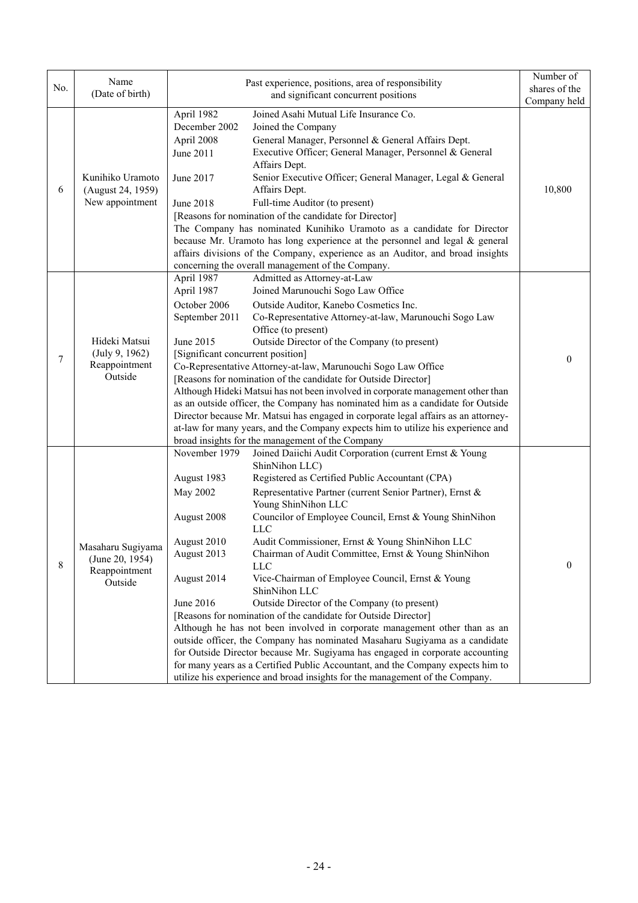|     | Name                                                     |                                   | Past experience, positions, area of responsibility                                 | Number of     |
|-----|----------------------------------------------------------|-----------------------------------|------------------------------------------------------------------------------------|---------------|
| No. | (Date of birth)                                          |                                   | and significant concurrent positions                                               | shares of the |
|     |                                                          |                                   |                                                                                    | Company held  |
|     |                                                          | April 1982                        | Joined Asahi Mutual Life Insurance Co.                                             |               |
|     |                                                          | December 2002                     | Joined the Company                                                                 |               |
|     |                                                          | April 2008                        | General Manager, Personnel & General Affairs Dept.                                 |               |
|     | Kunihiko Uramoto<br>(August 24, 1959)<br>New appointment | June 2011                         | Executive Officer; General Manager, Personnel & General                            |               |
| 6   |                                                          | June 2017                         | Affairs Dept.<br>Senior Executive Officer; General Manager, Legal & General        |               |
|     |                                                          |                                   | Affairs Dept.                                                                      | 10,800        |
|     |                                                          | June 2018                         | Full-time Auditor (to present)                                                     |               |
|     |                                                          |                                   | [Reasons for nomination of the candidate for Director]                             |               |
|     |                                                          |                                   | The Company has nominated Kunihiko Uramoto as a candidate for Director             |               |
|     |                                                          |                                   | because Mr. Uramoto has long experience at the personnel and legal & general       |               |
|     |                                                          |                                   | affairs divisions of the Company, experience as an Auditor, and broad insights     |               |
|     |                                                          |                                   | concerning the overall management of the Company.                                  |               |
|     |                                                          | April 1987                        | Admitted as Attorney-at-Law                                                        |               |
|     |                                                          | April 1987                        | Joined Marunouchi Sogo Law Office                                                  |               |
|     |                                                          | October 2006                      | Outside Auditor, Kanebo Cosmetics Inc.                                             |               |
|     |                                                          | September 2011                    | Co-Representative Attorney-at-law, Marunouchi Sogo Law                             |               |
|     |                                                          |                                   | Office (to present)                                                                |               |
|     | Hideki Matsui<br>(July 9, 1962)<br>Reappointment         | June 2015                         | Outside Director of the Company (to present)                                       |               |
| 7   |                                                          | [Significant concurrent position] |                                                                                    | $\theta$      |
|     |                                                          |                                   | Co-Representative Attorney-at-law, Marunouchi Sogo Law Office                      |               |
|     | Outside                                                  |                                   | [Reasons for nomination of the candidate for Outside Director]                     |               |
|     |                                                          |                                   | Although Hideki Matsui has not been involved in corporate management other than    |               |
|     |                                                          |                                   | as an outside officer, the Company has nominated him as a candidate for Outside    |               |
|     |                                                          |                                   | Director because Mr. Matsui has engaged in corporate legal affairs as an attorney- |               |
|     |                                                          |                                   | at-law for many years, and the Company expects him to utilize his experience and   |               |
|     |                                                          |                                   | broad insights for the management of the Company                                   |               |
|     |                                                          | November 1979                     | Joined Daiichi Audit Corporation (current Ernst & Young                            |               |
|     |                                                          | August 1983                       | ShinNihon LLC)<br>Registered as Certified Public Accountant (CPA)                  |               |
|     |                                                          |                                   |                                                                                    |               |
|     |                                                          | May 2002                          | Representative Partner (current Senior Partner), Ernst &                           |               |
|     |                                                          | August 2008                       | Young ShinNihon LLC<br>Councilor of Employee Council, Ernst & Young ShinNihon      |               |
|     |                                                          |                                   | <b>LLC</b>                                                                         |               |
|     |                                                          | August 2010                       | Audit Commissioner, Ernst & Young ShinNihon LLC                                    |               |
|     | Masaharu Sugiyama                                        | August 2013                       | Chairman of Audit Committee, Ernst & Young ShinNihon                               |               |
| 8   | (June 20, 1954)                                          |                                   | <b>LLC</b>                                                                         | $\Omega$      |
|     | Reappointment<br>Outside                                 | August 2014                       | Vice-Chairman of Employee Council, Ernst & Young                                   |               |
|     |                                                          |                                   | ShinNihon LLC                                                                      |               |
|     |                                                          | June 2016                         | Outside Director of the Company (to present)                                       |               |
|     |                                                          |                                   | [Reasons for nomination of the candidate for Outside Director]                     |               |
|     |                                                          |                                   | Although he has not been involved in corporate management other than as an         |               |
|     |                                                          |                                   | outside officer, the Company has nominated Masaharu Sugiyama as a candidate        |               |
|     |                                                          |                                   | for Outside Director because Mr. Sugiyama has engaged in corporate accounting      |               |
|     |                                                          |                                   | for many years as a Certified Public Accountant, and the Company expects him to    |               |
|     |                                                          |                                   | utilize his experience and broad insights for the management of the Company.       |               |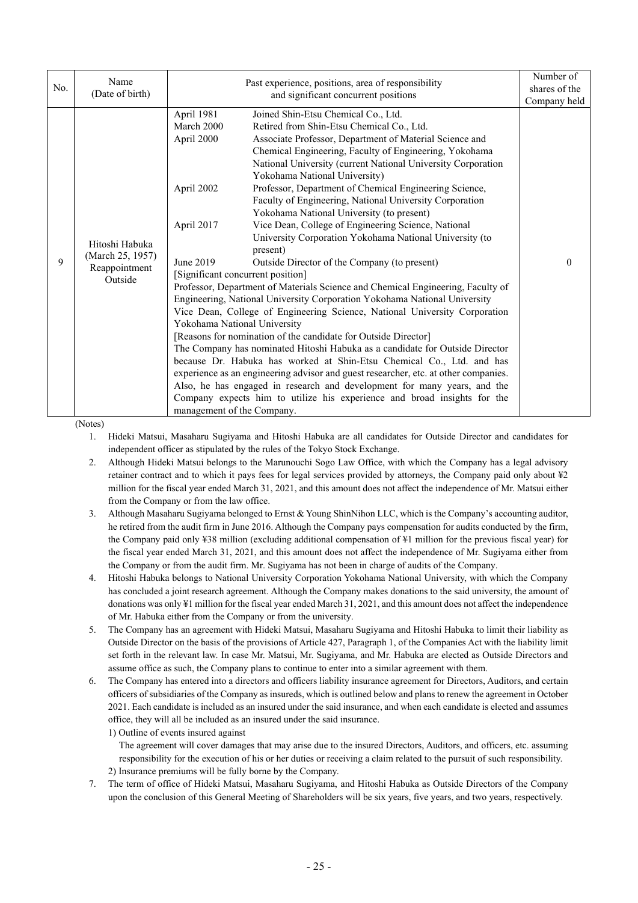| No. | Name<br>(Date of birth)                                        |                                                                                                                                                                                    | Past experience, positions, area of responsibility<br>and significant concurrent positions                                                                                                                                                                                                                                                                                                                                                                                                                                                                                                                                                                                                                                                                                                                                                                                                                                                                                                                                                                                                                                                                                                                                                                                                                                                                                     | Number of<br>shares of the<br>Company held |
|-----|----------------------------------------------------------------|------------------------------------------------------------------------------------------------------------------------------------------------------------------------------------|--------------------------------------------------------------------------------------------------------------------------------------------------------------------------------------------------------------------------------------------------------------------------------------------------------------------------------------------------------------------------------------------------------------------------------------------------------------------------------------------------------------------------------------------------------------------------------------------------------------------------------------------------------------------------------------------------------------------------------------------------------------------------------------------------------------------------------------------------------------------------------------------------------------------------------------------------------------------------------------------------------------------------------------------------------------------------------------------------------------------------------------------------------------------------------------------------------------------------------------------------------------------------------------------------------------------------------------------------------------------------------|--------------------------------------------|
| 9   | Hitoshi Habuka<br>(March 25, 1957)<br>Reappointment<br>Outside | April 1981<br>March 2000<br>April 2000<br>April 2002<br>April 2017<br>June 2019<br>[Significant concurrent position]<br>Yokohama National University<br>management of the Company. | Joined Shin-Etsu Chemical Co., Ltd.<br>Retired from Shin-Etsu Chemical Co., Ltd.<br>Associate Professor, Department of Material Science and<br>Chemical Engineering, Faculty of Engineering, Yokohama<br>National University (current National University Corporation<br>Yokohama National University)<br>Professor, Department of Chemical Engineering Science,<br>Faculty of Engineering, National University Corporation<br>Yokohama National University (to present)<br>Vice Dean, College of Engineering Science, National<br>University Corporation Yokohama National University (to<br>present)<br>Outside Director of the Company (to present)<br>Professor, Department of Materials Science and Chemical Engineering, Faculty of<br>Engineering, National University Corporation Yokohama National University<br>Vice Dean, College of Engineering Science, National University Corporation<br>[Reasons for nomination of the candidate for Outside Director]<br>The Company has nominated Hitoshi Habuka as a candidate for Outside Director<br>because Dr. Habuka has worked at Shin-Etsu Chemical Co., Ltd. and has<br>experience as an engineering advisor and guest researcher, etc. at other companies.<br>Also, he has engaged in research and development for many years, and the<br>Company expects him to utilize his experience and broad insights for the | $\theta$                                   |

(Notes)

1. Hideki Matsui, Masaharu Sugiyama and Hitoshi Habuka are all candidates for Outside Director and candidates for independent officer as stipulated by the rules of the Tokyo Stock Exchange.

- 2. Although Hideki Matsui belongs to the Marunouchi Sogo Law Office, with which the Company has a legal advisory retainer contract and to which it pays fees for legal services provided by attorneys, the Company paid only about ¥2 million for the fiscal year ended March 31, 2021, and this amount does not affect the independence of Mr. Matsui either from the Company or from the law office.
- 3. Although Masaharu Sugiyama belonged to Ernst & Young ShinNihon LLC, which is the Company's accounting auditor, he retired from the audit firm in June 2016. Although the Company pays compensation for audits conducted by the firm, the Company paid only ¥38 million (excluding additional compensation of ¥1 million for the previous fiscal year) for the fiscal year ended March 31, 2021, and this amount does not affect the independence of Mr. Sugiyama either from the Company or from the audit firm. Mr. Sugiyama has not been in charge of audits of the Company.
- 4. Hitoshi Habuka belongs to National University Corporation Yokohama National University, with which the Company has concluded a joint research agreement. Although the Company makes donations to the said university, the amount of donations was only ¥1 million for the fiscal year ended March 31, 2021, and this amount does not affect the independence of Mr. Habuka either from the Company or from the university.
- 5. The Company has an agreement with Hideki Matsui, Masaharu Sugiyama and Hitoshi Habuka to limit their liability as Outside Director on the basis of the provisions of Article 427, Paragraph 1, of the Companies Act with the liability limit set forth in the relevant law. In case Mr. Matsui, Mr. Sugiyama, and Mr. Habuka are elected as Outside Directors and assume office as such, the Company plans to continue to enter into a similar agreement with them.
- 6. The Company has entered into a directors and officers liability insurance agreement for Directors, Auditors, and certain officers of subsidiaries of the Company as insureds, which is outlined below and plans to renew the agreement in October 2021. Each candidate is included as an insured under the said insurance, and when each candidate is elected and assumes office, they will all be included as an insured under the said insurance. 1) Outline of events insured against
	- The agreement will cover damages that may arise due to the insured Directors, Auditors, and officers, etc. assuming responsibility for the execution of his or her duties or receiving a claim related to the pursuit of such responsibility. 2) Insurance premiums will be fully borne by the Company.
- 7. The term of office of Hideki Matsui, Masaharu Sugiyama, and Hitoshi Habuka as Outside Directors of the Company upon the conclusion of this General Meeting of Shareholders will be six years, five years, and two years, respectively.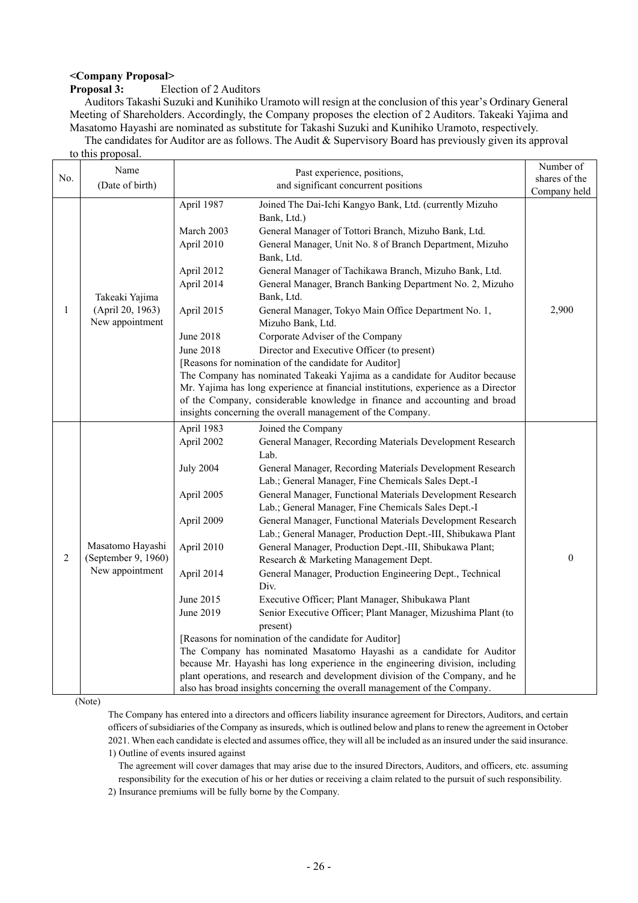# **<Company Proposal>**

## **Proposition of 2 Auditors**

Auditors Takashi Suzuki and Kunihiko Uramoto will resign at the conclusion of this year's Ordinary General Meeting of Shareholders. Accordingly, the Company proposes the election of 2 Auditors. Takeaki Yajima and Masatomo Hayashi are nominated as substitute for Takashi Suzuki and Kunihiko Uramoto, respectively.

The candidates for Auditor are as follows. The Audit & Supervisory Board has previously given its approval to this proposal.

|     | Name                                    |                  | Past experience, positions,                                                        | Number of        |
|-----|-----------------------------------------|------------------|------------------------------------------------------------------------------------|------------------|
| No. | (Date of birth)                         |                  | and significant concurrent positions                                               | shares of the    |
|     |                                         |                  |                                                                                    | Company held     |
|     |                                         | April 1987       | Joined The Dai-Ichi Kangyo Bank, Ltd. (currently Mizuho                            |                  |
|     |                                         |                  | Bank, Ltd.)                                                                        |                  |
|     |                                         | March 2003       | General Manager of Tottori Branch, Mizuho Bank, Ltd.                               |                  |
|     |                                         | April 2010       | General Manager, Unit No. 8 of Branch Department, Mizuho                           |                  |
|     |                                         |                  | Bank, Ltd.                                                                         |                  |
|     |                                         | April 2012       | General Manager of Tachikawa Branch, Mizuho Bank, Ltd.                             |                  |
|     |                                         | April 2014       | General Manager, Branch Banking Department No. 2, Mizuho<br>Bank, Ltd.             |                  |
| 1   | Takeaki Yajima<br>(April 20, 1963)      |                  |                                                                                    | 2,900            |
|     | New appointment                         | April 2015       | General Manager, Tokyo Main Office Department No. 1,<br>Mizuho Bank, Ltd.          |                  |
|     |                                         | June 2018        | Corporate Adviser of the Company                                                   |                  |
|     |                                         | <b>June 2018</b> | Director and Executive Officer (to present)                                        |                  |
|     |                                         |                  | [Reasons for nomination of the candidate for Auditor]                              |                  |
|     |                                         |                  | The Company has nominated Takeaki Yajima as a candidate for Auditor because        |                  |
|     |                                         |                  | Mr. Yajima has long experience at financial institutions, experience as a Director |                  |
|     |                                         |                  | of the Company, considerable knowledge in finance and accounting and broad         |                  |
|     |                                         |                  | insights concerning the overall management of the Company.                         |                  |
|     |                                         | April 1983       |                                                                                    |                  |
|     |                                         |                  | Joined the Company                                                                 |                  |
|     |                                         | April 2002       | General Manager, Recording Materials Development Research<br>Lab.                  |                  |
|     | Masatomo Hayashi<br>(September 9, 1960) |                  |                                                                                    |                  |
|     |                                         | <b>July 2004</b> | General Manager, Recording Materials Development Research                          |                  |
|     |                                         |                  | Lab.; General Manager, Fine Chemicals Sales Dept.-I                                |                  |
|     |                                         | April 2005       | General Manager, Functional Materials Development Research                         |                  |
|     |                                         |                  | Lab.; General Manager, Fine Chemicals Sales Dept.-I                                |                  |
|     |                                         | April 2009       | General Manager, Functional Materials Development Research                         |                  |
|     |                                         |                  | Lab.; General Manager, Production Dept.-III, Shibukawa Plant                       |                  |
| 2   |                                         | April 2010       | General Manager, Production Dept.-III, Shibukawa Plant;                            | $\boldsymbol{0}$ |
|     | New appointment                         |                  | Research & Marketing Management Dept.                                              |                  |
|     |                                         | April 2014       | General Manager, Production Engineering Dept., Technical<br>Div.                   |                  |
|     |                                         | June 2015        | Executive Officer; Plant Manager, Shibukawa Plant                                  |                  |
|     |                                         | June 2019        | Senior Executive Officer; Plant Manager, Mizushima Plant (to                       |                  |
|     |                                         |                  | present)                                                                           |                  |
|     |                                         |                  | [Reasons for nomination of the candidate for Auditor]                              |                  |
|     |                                         |                  | The Company has nominated Masatomo Hayashi as a candidate for Auditor              |                  |
|     |                                         |                  | because Mr. Hayashi has long experience in the engineering division, including     |                  |
|     |                                         |                  | plant operations, and research and development division of the Company, and he     |                  |
|     |                                         |                  | also has broad insights concerning the overall management of the Company.          |                  |

(Note)

The Company has entered into a directors and officers liability insurance agreement for Directors, Auditors, and certain officers of subsidiaries of the Company as insureds, which is outlined below and plans to renew the agreement in October 2021. When each candidate is elected and assumes office, they will all be included as an insured under the said insurance. 1) Outline of events insured against

The agreement will cover damages that may arise due to the insured Directors, Auditors, and officers, etc. assuming responsibility for the execution of his or her duties or receiving a claim related to the pursuit of such responsibility.

2) Insurance premiums will be fully borne by the Company.